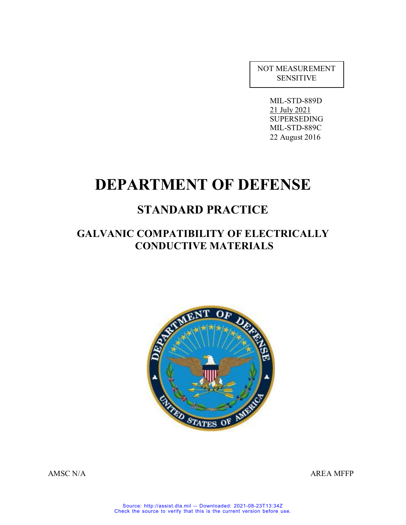NOT MEASUREMENT SENSITIVE

> MIL-STD-889D 21 July 2021 SUPERSEDING MIL-STD-889C 22 August 2016

# **DEPARTMENT OF DEFENSE**

# **STANDARD PRACTICE**

# **GALVANIC COMPATIBILITY OF ELECTRICALLY CONDUCTIVE MATERIALS**



AMSC N/A AREA MFFP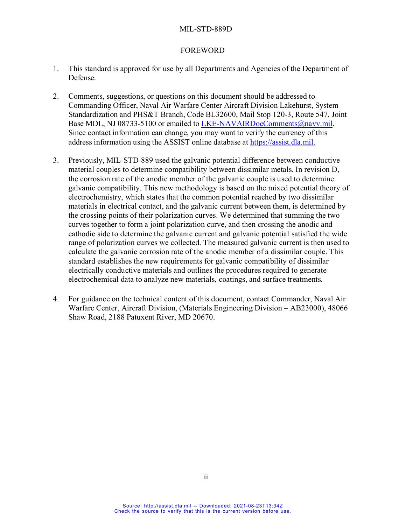#### FOREWORD

- 1. This standard is approved for use by all Departments and Agencies of the Department of Defense.
- 2. Comments, suggestions, or questions on this document should be addressed to Commanding Officer, Naval Air Warfare Center Aircraft Division Lakehurst, System Standardization and PHS&T Branch, Code BL32600, Mail Stop 120-3, Route 547, Joint Base MDL, NJ 08733-5100 or emailed to [LKE-NAVAIRDocComments@navy.mil.](mailto:LKE-NAVAIRDocComments@navy.mil) Since contact information can change, you may want to verify the currency of this address information using the ASSIST online database at [https://assist.dla.mil.](https://assist.dla.mil/)
- 3. Previously, MIL-STD-889 used the galvanic potential difference between conductive material couples to determine compatibility between dissimilar metals. In revision D, the corrosion rate of the anodic member of the galvanic couple is used to determine galvanic compatibility. This new methodology is based on the mixed potential theory of electrochemistry, which states that the common potential reached by two dissimilar materials in electrical contact, and the galvanic current between them, is determined by the crossing points of their polarization curves. We determined that summing the two curves together to form a joint polarization curve, and then crossing the anodic and cathodic side to determine the galvanic current and galvanic potential satisfied the wide range of polarization curves we collected. The measured galvanic current is then used to calculate the galvanic corrosion rate of the anodic member of a dissimilar couple. This standard establishes the new requirements for galvanic compatibility of dissimilar electrically conductive materials and outlines the procedures required to generate electrochemical data to analyze new materials, coatings, and surface treatments.
- 4. For guidance on the technical content of this document, contact Commander, Naval Air Warfare Center, Aircraft Division, (Materials Engineering Division – AB23000), 48066 Shaw Road, 2188 Patuxent River, MD 20670.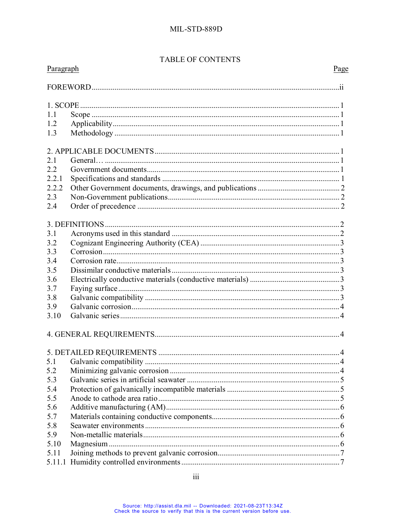# TABLE OF CONTENTS

| Paragraph | Page |  |
|-----------|------|--|
|           |      |  |
|           |      |  |
| 1.1       |      |  |
| 1.2       |      |  |
| 1.3       |      |  |
|           |      |  |
| 2.1       |      |  |
|           |      |  |
| 2.2       |      |  |
| 2.2.1     |      |  |
| 2.2.2     |      |  |
| 2.3       |      |  |
| 2.4       |      |  |
|           |      |  |
| 3.1       |      |  |
| 3.2       |      |  |
| 3.3       |      |  |
| 3.4       |      |  |
| 3.5       |      |  |
| 3.6       |      |  |
| 3.7       |      |  |
| 3.8       |      |  |
| 3.9       |      |  |
| 3.10      |      |  |
|           |      |  |
|           |      |  |
|           |      |  |
|           |      |  |
| 5.2       |      |  |
| 5.3       |      |  |
| 5.4       |      |  |
| 5.5       |      |  |
| 5.6       |      |  |
| 5.7       |      |  |
| 5.8       |      |  |
| 5.9       |      |  |
|           |      |  |
| 5.10      |      |  |
| 5.11      |      |  |
| 5.11.1    |      |  |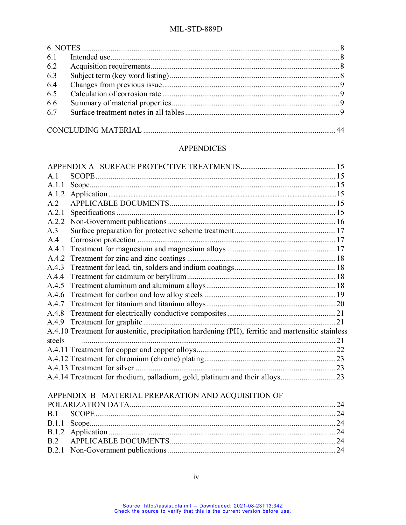| 6.3 |  |  |  |  |  |  |  |  |
|-----|--|--|--|--|--|--|--|--|
| 6.4 |  |  |  |  |  |  |  |  |
| 6.5 |  |  |  |  |  |  |  |  |
| 6.6 |  |  |  |  |  |  |  |  |
| 6.7 |  |  |  |  |  |  |  |  |
|     |  |  |  |  |  |  |  |  |
|     |  |  |  |  |  |  |  |  |

# **APPENDICES**

| A.1          |                                                                                                   |  |
|--------------|---------------------------------------------------------------------------------------------------|--|
| A.1.1        |                                                                                                   |  |
| A.1.2        |                                                                                                   |  |
| A.2          |                                                                                                   |  |
| A.2.1        |                                                                                                   |  |
| A.2.2        |                                                                                                   |  |
| A.3          |                                                                                                   |  |
| A.4          |                                                                                                   |  |
| A.4.1        |                                                                                                   |  |
| A.4.2        |                                                                                                   |  |
| A.4.3        |                                                                                                   |  |
| A.4.4        |                                                                                                   |  |
| A.4.5        |                                                                                                   |  |
| A.4.6        |                                                                                                   |  |
| A.4.7        |                                                                                                   |  |
| A.4.8        |                                                                                                   |  |
| A.4.9        |                                                                                                   |  |
|              | A.4.10 Treatment for austenitic, precipitation hardening (PH), ferritic and martensitic stainless |  |
| steels       |                                                                                                   |  |
|              |                                                                                                   |  |
|              |                                                                                                   |  |
|              |                                                                                                   |  |
|              |                                                                                                   |  |
|              |                                                                                                   |  |
|              | APPENDIX B MATERIAL PREPARATION AND ACQUISITION OF                                                |  |
|              |                                                                                                   |  |
| B.1          |                                                                                                   |  |
| B.1.1        |                                                                                                   |  |
| <b>B.1.2</b> |                                                                                                   |  |
| B.2          |                                                                                                   |  |
| B.2.1        |                                                                                                   |  |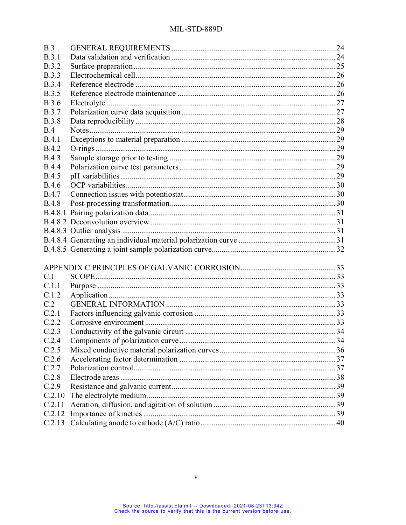| B.3          |  |
|--------------|--|
| B.3.1        |  |
| <b>B.3.2</b> |  |
| <b>B.3.3</b> |  |
| <b>B.3.4</b> |  |
| <b>B.3.5</b> |  |
| <b>B.3.6</b> |  |
| <b>B.3.7</b> |  |
| <b>B.3.8</b> |  |
| B.4          |  |
| B.4.1        |  |
| <b>B.4.2</b> |  |
| <b>B.4.3</b> |  |
| <b>B.4.4</b> |  |
| <b>B.4.5</b> |  |
| <b>B.4.6</b> |  |
| <b>B.4.7</b> |  |
| <b>B.4.8</b> |  |
|              |  |
|              |  |
|              |  |
|              |  |
|              |  |
|              |  |
|              |  |
|              |  |
| C.1          |  |
| C.1.1        |  |
| C.1.2        |  |
| C.2          |  |
| C.2.1        |  |
| C.2.2        |  |
| C.2.3        |  |
| C.2.4        |  |
| C.2.5        |  |
| C.2.6        |  |
| C.2.7        |  |
| C.2.8        |  |
| C.2.9        |  |
| C.2.10       |  |
| C.2.11       |  |
| C.2.12       |  |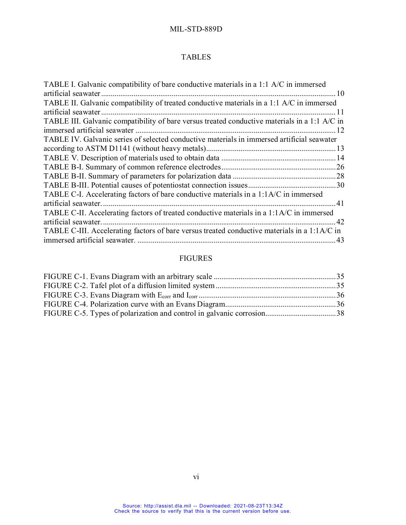# TABLES

| TABLE I. Galvanic compatibility of bare conductive materials in a 1:1 A/C in immersed         |
|-----------------------------------------------------------------------------------------------|
|                                                                                               |
| TABLE II. Galvanic compatibility of treated conductive materials in a 1:1 A/C in immersed     |
| . 11                                                                                          |
| TABLE III. Galvanic compatibility of bare versus treated conductive materials in a 1:1 A/C in |
|                                                                                               |
| TABLE IV. Galvanic series of selected conductive materials in immersed artificial seawater    |
|                                                                                               |
|                                                                                               |
|                                                                                               |
|                                                                                               |
|                                                                                               |
| TABLE C-I. Accelerating factors of bare conductive materials in a 1:1A/C in immersed          |
|                                                                                               |
| TABLE C-II. Accelerating factors of treated conductive materials in a 1:1A/C in immersed      |
| artificial seawater.<br>.42                                                                   |
| TABLE C-III. Accelerating factors of bare versus treated conductive materials in a 1:1A/C in  |
|                                                                                               |

# FIGURES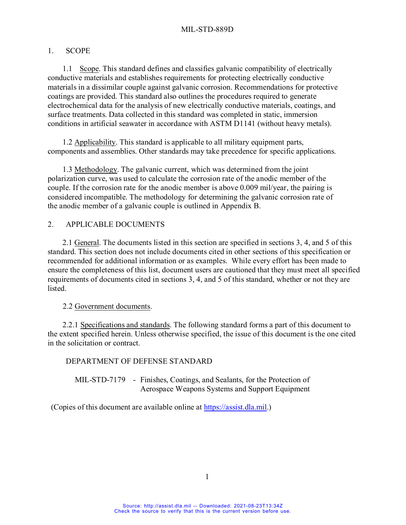#### 1. SCOPE

1.1 Scope. This standard defines and classifies galvanic compatibility of electrically conductive materials and establishes requirements for protecting electrically conductive materials in a dissimilar couple against galvanic corrosion. Recommendations for protective coatings are provided. This standard also outlines the procedures required to generate electrochemical data for the analysis of new electrically conductive materials, coatings, and surface treatments. Data collected in this standard was completed in static, immersion conditions in artificial seawater in accordance with ASTM D1141 (without heavy metals).

1.2 Applicability. This standard is applicable to all military equipment parts, components and assemblies. Other standards may take precedence for specific applications.

1.3 Methodology. The galvanic current, which was determined from the joint polarization curve, was used to calculate the corrosion rate of the anodic member of the couple. If the corrosion rate for the anodic member is above 0.009 mil/year, the pairing is considered incompatible. The methodology for determining the galvanic corrosion rate of the anodic member of a galvanic couple is outlined in Appendix B.

## 2. APPLICABLE DOCUMENTS

2.1 General. The documents listed in this section are specified in sections 3, 4, and 5 of this standard. This section does not include documents cited in other sections of this specification or recommended for additional information or as examples. While every effort has been made to ensure the completeness of this list, document users are cautioned that they must meet all specified requirements of documents cited in sections 3, 4, and 5 of this standard, whether or not they are listed.

#### 2.2 Government documents.

2.2.1 Specifications and standards. The following standard forms a part of this document to the extent specified herein. Unless otherwise specified, the issue of this document is the one cited in the solicitation or contract.

#### DEPARTMENT OF DEFENSE STANDARD

MIL-STD-7179 - Finishes, Coatings, and Sealants, for the Protection of Aerospace Weapons Systems and Support Equipment

(Copies of this document are available online at [https://assist.dla.mil.](https://assist.dla.mil/))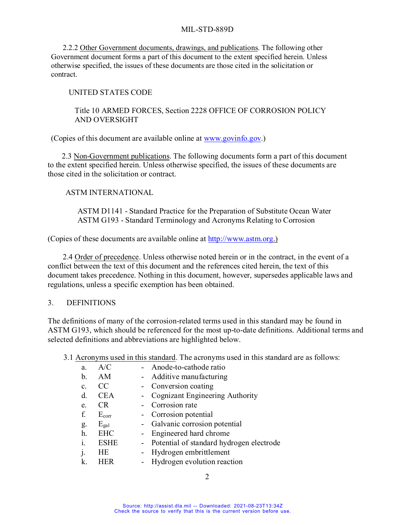2.2.2 Other Government documents, drawings, and publications. The following other Government document forms a part of this document to the extent specified herein. Unless otherwise specified, the issues of these documents are those cited in the solicitation or contract.

#### UNITED STATES CODE

#### Title 10 ARMED FORCES, Section 2228 OFFICE OF CORROSION POLICY AND OVERSIGHT

(Copies of this document are available online at [www.govinfo.gov.](http://www.govinfo.gov/))

2.3 Non-Government publications. The following documents form a part of this document to the extent specified herein. Unless otherwise specified, the issues of these documents are those cited in the solicitation or contract.

#### ASTM INTERNATIONAL

ASTM D1141 - Standard Practice for the Preparation of Substitute Ocean Water ASTM G193 - Standard Terminology and Acronyms Relating to Corrosion

(Copies of these documents are available online at [http://www.astm.org.](http://www.astm.org/))

2.4 Order of precedence. Unless otherwise noted herein or in the contract, in the event of a conflict between the text of this document and the references cited herein, the text of this document takes precedence. Nothing in this document, however, supersedes applicable laws and regulations, unless a specific exemption has been obtained.

## 3. DEFINITIONS

The definitions of many of the corrosion-related terms used in this standard may be found in ASTM G193, which should be referenced for the most up-to-date definitions. Additional terms and selected definitions and abbreviations are highlighted below.

3.1 Acronyms used in this standard. The acronyms used in this standard are as follows:

| a.             | A/C           | Anode-to-cathode ratio                     |
|----------------|---------------|--------------------------------------------|
| b.             | AM            | - Additive manufacturing                   |
| C <sub>r</sub> | <sub>CC</sub> | - Conversion coating                       |
| d.             | <b>CEA</b>    | - Cognizant Engineering Authority          |
| e.             | <b>CR</b>     | - Corrosion rate                           |
| f.             | $E_{corr}$    | - Corrosion potential                      |
| g.             | $E_{gal}$     | - Galvanic corrosion potential             |
| h.             | <b>EHC</b>    | - Engineered hard chrome                   |
| i.             | <b>ESHE</b>   | - Potential of standard hydrogen electrode |
| j.             | HE            | Hydrogen embrittlement                     |
| k.             | <b>HER</b>    | Hydrogen evolution reaction                |
|                |               |                                            |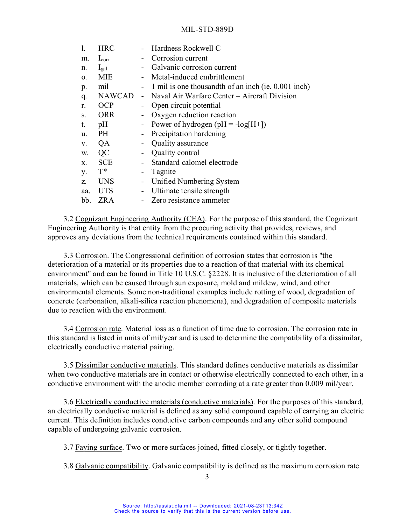| $\mathbf{1}$ . | <b>HRC</b>     |                              | Hardness Rockwell C                                 |
|----------------|----------------|------------------------------|-----------------------------------------------------|
| m.             | $I_{\rm corr}$ |                              | Corrosion current                                   |
| n.             | $I_{gal}$      | $\blacksquare$               | Galvanic corrosion current                          |
| 0.             | MIE            |                              | - Metal-induced embrittlement                       |
| p.             | mil            |                              | 1 mil is one thousandth of an inch (ie. 0.001 inch) |
| q.             | <b>NAWCAD</b>  |                              | - Naval Air Warfare Center – Aircraft Division      |
| r.             | <b>OCP</b>     | $\qquad \qquad \blacksquare$ | Open circuit potential                              |
| S.             | <b>ORR</b>     | $\qquad \qquad \blacksquare$ | Oxygen reduction reaction                           |
| t.             | pH             |                              | - Power of hydrogen $(pH = -log[H+])$               |
| u.             | PH             | $\blacksquare$               | Precipitation hardening                             |
| V.             | QA             | $\blacksquare$               | Quality assurance                                   |
| w.             | QC             | $\overline{\phantom{a}}$     | Quality control                                     |
| X.             | <b>SCE</b>     |                              | Standard calomel electrode                          |
| у.             | $T^*$          | $\overline{\phantom{a}}$     | Tagnite                                             |
| Z.             | <b>UNS</b>     | $\blacksquare$               | Unified Numbering System                            |
| aa.            | <b>UTS</b>     | $\blacksquare$               | Ultimate tensile strength                           |
| bb.            | ZR A           |                              | Zero resistance ammeter                             |

3.2 Cognizant Engineering Authority (CEA). For the purpose of this standard, the Cognizant Engineering Authority is that entity from the procuring activity that provides, reviews, and approves any deviations from the technical requirements contained within this standard.

3.3 Corrosion. The Congressional definition of corrosion states that corrosion is "the deterioration of a material or its properties due to a reaction of that material with its chemical environment" and can be found in Title 10 U.S.C. §2228. It is inclusive of the deterioration of all materials, which can be caused through sun exposure, mold and mildew, wind, and other environmental elements. Some non-traditional examples include rotting of wood, degradation of concrete (carbonation, alkali-silica reaction phenomena), and degradation of composite materials due to reaction with the environment.

3.4 Corrosion rate. Material loss as a function of time due to corrosion. The corrosion rate in this standard is listed in units of mil/year and is used to determine the compatibility of a dissimilar, electrically conductive material pairing.

3.5 Dissimilar conductive materials. This standard defines conductive materials as dissimilar when two conductive materials are in contact or otherwise electrically connected to each other, in a conductive environment with the anodic member corroding at a rate greater than 0.009 mil/year.

3.6 Electrically conductive materials (conductive materials). For the purposes of this standard, an electrically conductive material is defined as any solid compound capable of carrying an electric current. This definition includes conductive carbon compounds and any other solid compound capable of undergoing galvanic corrosion.

3.7 Faying surface. Two or more surfaces joined, fitted closely, or tightly together.

3.8 Galvanic compatibility. Galvanic compatibility is defined as the maximum corrosion rate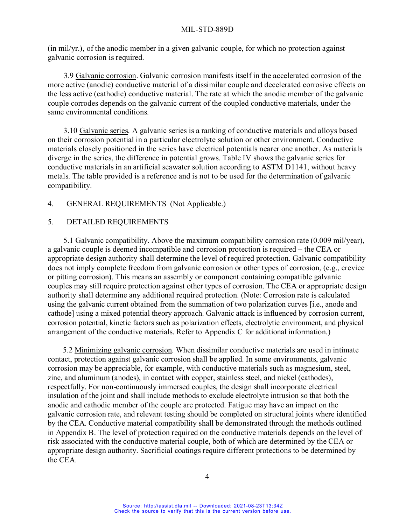(in mil/yr.), of the anodic member in a given galvanic couple, for which no protection against galvanic corrosion is required.

3.9 Galvanic corrosion. Galvanic corrosion manifests itself in the accelerated corrosion of the more active (anodic) conductive material of a dissimilar couple and decelerated corrosive effects on the less active (cathodic) conductive material. The rate at which the anodic member of the galvanic couple corrodes depends on the galvanic current of the coupled conductive materials, under the same environmental conditions.

3.10 Galvanic series. A galvanic series is a ranking of conductive materials and alloys based on their corrosion potential in a particular electrolyte solution or other environment. Conductive materials closely positioned in the series have electrical potentials nearer one another. As materials diverge in the series, the difference in potential grows. Table IV shows the galvanic series for conductive materials in an artificial seawater solution according to ASTM D1141, without heavy metals. The table provided is a reference and is not to be used for the determination of galvanic compatibility.

#### 4. GENERAL REQUIREMENTS (Not Applicable.)

#### 5. DETAILED REQUIREMENTS

5.1 Galvanic compatibility. Above the maximum compatibility corrosion rate (0.009 mil/year), a galvanic couple is deemed incompatible and corrosion protection is required – the CEA or appropriate design authority shall determine the level of required protection. Galvanic compatibility does not imply complete freedom from galvanic corrosion or other types of corrosion, (e.g., crevice or pitting corrosion). This means an assembly or component containing compatible galvanic couples may still require protection against other types of corrosion. The CEA or appropriate design authority shall determine any additional required protection. (Note: Corrosion rate is calculated using the galvanic current obtained from the summation of two polarization curves [i.e., anode and cathode] using a mixed potential theory approach. Galvanic attack is influenced by corrosion current, corrosion potential, kinetic factors such as polarization effects, electrolytic environment, and physical arrangement of the conductive materials. Refer to Appendix C for additional information.)

5.2 Minimizing galvanic corrosion. When dissimilar conductive materials are used in intimate contact, protection against galvanic corrosion shall be applied. In some environments, galvanic corrosion may be appreciable, for example, with conductive materials such as magnesium, steel, zinc, and aluminum (anodes), in contact with copper, stainless steel, and nickel (cathodes), respectfully. For non-continuously immersed couples, the design shall incorporate electrical insulation of the joint and shall include methods to exclude electrolyte intrusion so that both the anodic and cathodic member of the couple are protected. Fatigue may have an impact on the galvanic corrosion rate, and relevant testing should be completed on structural joints where identified by the CEA. Conductive material compatibility shall be demonstrated through the methods outlined in Appendix B. The level of protection required on the conductive materials depends on the level of risk associated with the conductive material couple, both of which are determined by the CEA or appropriate design authority. Sacrificial coatings require different protections to be determined by the CEA.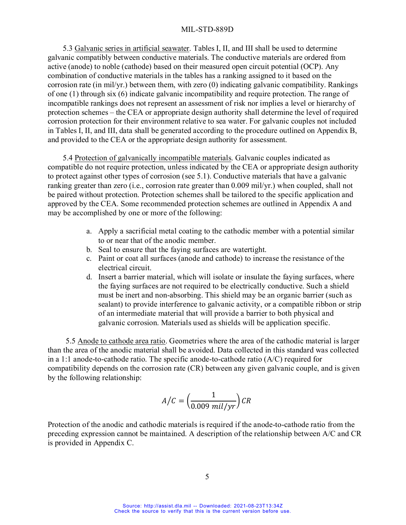5.3 Galvanic series in artificial seawater. Tables I, II, and III shall be used to determine galvanic compatibly between conductive materials. The conductive materials are ordered from active (anode) to noble (cathode) based on their measured open circuit potential (OCP). Any combination of conductive materials in the tables has a ranking assigned to it based on the corrosion rate (in mil/yr.) between them, with zero (0) indicating galvanic compatibility. Rankings of one (1) through six (6) indicate galvanic incompatibility and require protection. The range of incompatible rankings does not represent an assessment of risk nor implies a level or hierarchy of protection schemes – the CEA or appropriate design authority shall determine the level of required corrosion protection for their environment relative to sea water. For galvanic couples not included in Tables I, II, and III, data shall be generated according to the procedure outlined on Appendix B, and provided to the CEA or the appropriate design authority for assessment.

5.4 Protection of galvanically incompatible materials. Galvanic couples indicated as compatible do not require protection, unless indicated by the CEA or appropriate design authority to protect against other types of corrosion (see 5.1). Conductive materials that have a galvanic ranking greater than zero (i.e., corrosion rate greater than 0.009 mil/yr.) when coupled, shall not be paired without protection. Protection schemes shall be tailored to the specific application and approved by the CEA. Some recommended protection schemes are outlined in Appendix A and may be accomplished by one or more of the following:

- a. Apply a sacrificial metal coating to the cathodic member with a potential similar to or near that of the anodic member.
- b. Seal to ensure that the faying surfaces are watertight.
- c. Paint or coat all surfaces (anode and cathode) to increase the resistance of the electrical circuit.
- d. Insert a barrier material, which will isolate or insulate the faying surfaces, where the faying surfaces are not required to be electrically conductive. Such a shield must be inert and non-absorbing. This shield may be an organic barrier (such as sealant) to provide interference to galvanic activity, or a compatible ribbon or strip of an intermediate material that will provide a barrier to both physical and galvanic corrosion. Materials used as shields will be application specific.

5.5 Anode to cathode area ratio. Geometries where the area of the cathodic material is larger than the area of the anodic material shall be avoided. Data collected in this standard was collected in a 1:1 anode-to-cathode ratio. The specific anode-to-cathode ratio (A/C) required for compatibility depends on the corrosion rate (CR) between any given galvanic couple, and is given by the following relationship:

$$
A/C = \left(\frac{1}{0.009 \text{ mil/yr}}\right) CR
$$

Protection of the anodic and cathodic materials is required if the anode-to-cathode ratio from the preceding expression cannot be maintained. A description of the relationship between A/C and CR is provided in Appendix C.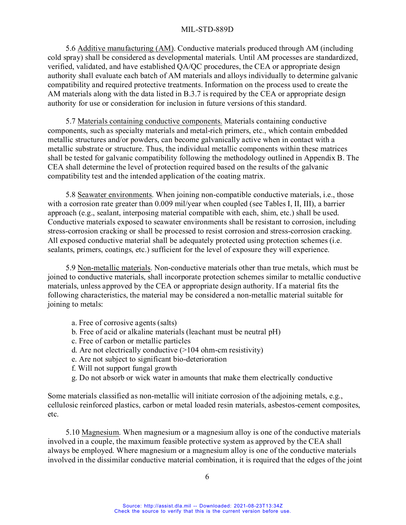5.6 Additive manufacturing (AM). Conductive materials produced through AM (including cold spray) shall be considered as developmental materials. Until AM processes are standardized, verified, validated, and have established QA/QC procedures, the CEA or appropriate design authority shall evaluate each batch of AM materials and alloys individually to determine galvanic compatibility and required protective treatments. Information on the process used to create the AM materials along with the data listed in B.3.7 is required by the CEA or appropriate design authority for use or consideration for inclusion in future versions of this standard.

5.7 Materials containing conductive components. Materials containing conductive components, such as specialty materials and metal-rich primers, etc., which contain embedded metallic structures and/or powders, can become galvanically active when in contact with a metallic substrate or structure. Thus, the individual metallic components within these matrices shall be tested for galvanic compatibility following the methodology outlined in Appendix B. The CEA shall determine the level of protection required based on the results of the galvanic compatibility test and the intended application of the coating matrix.

5.8 Seawater environments. When joining non-compatible conductive materials, i.e., those with a corrosion rate greater than 0.009 mil/year when coupled (see Tables I, II, III), a barrier approach (e.g., sealant, interposing material compatible with each, shim, etc.) shall be used. Conductive materials exposed to seawater environments shall be resistant to corrosion, including stress-corrosion cracking or shall be processed to resist corrosion and stress-corrosion cracking. All exposed conductive material shall be adequately protected using protection schemes (i.e. sealants, primers, coatings, etc.) sufficient for the level of exposure they will experience.

5.9 Non-metallic materials. Non-conductive materials other than true metals, which must be joined to conductive materials, shall incorporate protection schemes similar to metallic conductive materials, unless approved by the CEA or appropriate design authority. If a material fits the following characteristics, the material may be considered a non-metallic material suitable for joining to metals:

- a. Free of corrosive agents (salts)
- b. Free of acid or alkaline materials (leachant must be neutral pH)
- c. Free of carbon or metallic particles
- d. Are not electrically conductive (>104 ohm-cm resistivity)
- e. Are not subject to significant bio-deterioration
- f. Will not support fungal growth
- g. Do not absorb or wick water in amounts that make them electrically conductive

Some materials classified as non-metallic will initiate corrosion of the adjoining metals, e.g., cellulosic reinforced plastics, carbon or metal loaded resin materials, asbestos-cement composites, etc.

5.10 Magnesium. When magnesium or a magnesium alloy is one of the conductive materials involved in a couple, the maximum feasible protective system as approved by the CEA shall always be employed. Where magnesium or a magnesium alloy is one of the conductive materials involved in the dissimilar conductive material combination, it is required that the edges of the joint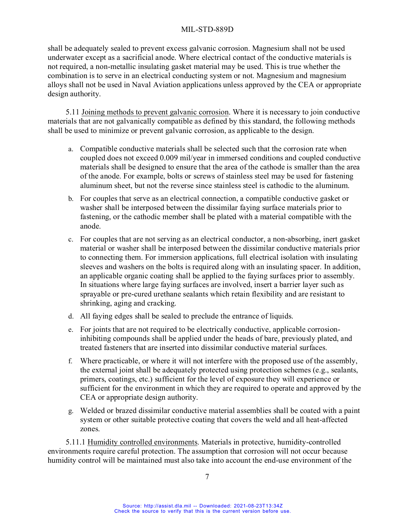shall be adequately sealed to prevent excess galvanic corrosion. Magnesium shall not be used underwater except as a sacrificial anode. Where electrical contact of the conductive materials is not required, a non-metallic insulating gasket material may be used. This is true whether the combination is to serve in an electrical conducting system or not. Magnesium and magnesium alloys shall not be used in Naval Aviation applications unless approved by the CEA or appropriate design authority.

5.11 Joining methods to prevent galvanic corrosion. Where it is necessary to join conductive materials that are not galvanically compatible as defined by this standard, the following methods shall be used to minimize or prevent galvanic corrosion, as applicable to the design.

- a. Compatible conductive materials shall be selected such that the corrosion rate when coupled does not exceed 0.009 mil/year in immersed conditions and coupled conductive materials shall be designed to ensure that the area of the cathode is smaller than the area of the anode. For example, bolts or screws of stainless steel may be used for fastening aluminum sheet, but not the reverse since stainless steel is cathodic to the aluminum.
- b. For couples that serve as an electrical connection, a compatible conductive gasket or washer shall be interposed between the dissimilar faying surface materials prior to fastening, or the cathodic member shall be plated with a material compatible with the anode.
- c. For couples that are not serving as an electrical conductor, a non-absorbing, inert gasket material or washer shall be interposed between the dissimilar conductive materials prior to connecting them. For immersion applications, full electrical isolation with insulating sleeves and washers on the bolts is required along with an insulating spacer. In addition, an applicable organic coating shall be applied to the faying surfaces prior to assembly. In situations where large faying surfaces are involved, insert a barrier layer such as sprayable or pre-cured urethane sealants which retain flexibility and are resistant to shrinking, aging and cracking.
- d. All faying edges shall be sealed to preclude the entrance of liquids.
- e. For joints that are not required to be electrically conductive, applicable corrosioninhibiting compounds shall be applied under the heads of bare, previously plated, and treated fasteners that are inserted into dissimilar conductive material surfaces.
- f. Where practicable, or where it will not interfere with the proposed use of the assembly, the external joint shall be adequately protected using protection schemes (e.g., sealants, primers, coatings, etc.) sufficient for the level of exposure they will experience or sufficient for the environment in which they are required to operate and approved by the CEA or appropriate design authority.
- g. Welded or brazed dissimilar conductive material assemblies shall be coated with a paint system or other suitable protective coating that covers the weld and all heat-affected zones.

5.11.1 Humidity controlled environments. Materials in protective, humidity-controlled environments require careful protection. The assumption that corrosion will not occur because humidity control will be maintained must also take into account the end-use environment of the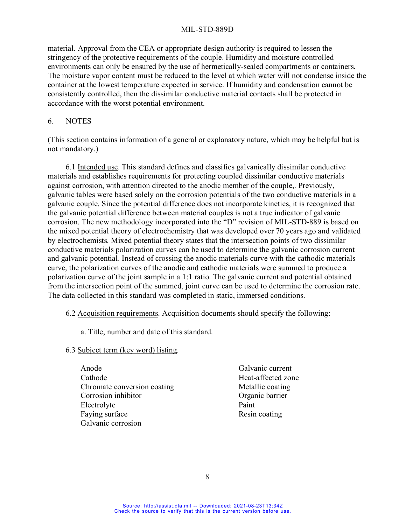material. Approval from the CEA or appropriate design authority is required to lessen the stringency of the protective requirements of the couple. Humidity and moisture controlled environments can only be ensured by the use of hermetically-sealed compartments or containers. The moisture vapor content must be reduced to the level at which water will not condense inside the container at the lowest temperature expected in service. If humidity and condensation cannot be consistently controlled, then the dissimilar conductive material contacts shall be protected in accordance with the worst potential environment.

#### 6. NOTES

(This section contains information of a general or explanatory nature, which may be helpful but is not mandatory.)

6.1 Intended use. This standard defines and classifies galvanically dissimilar conductive materials and establishes requirements for protecting coupled dissimilar conductive materials against corrosion, with attention directed to the anodic member of the couple,. Previously, galvanic tables were based solely on the corrosion potentials of the two conductive materials in a galvanic couple. Since the potential difference does not incorporate kinetics, it is recognized that the galvanic potential difference between material couples is not a true indicator of galvanic corrosion. The new methodology incorporated into the "D" revision of MIL-STD-889 is based on the mixed potential theory of electrochemistry that was developed over 70 years ago and validated by electrochemists. Mixed potential theory states that the intersection points of two dissimilar conductive materials polarization curves can be used to determine the galvanic corrosion current and galvanic potential. Instead of crossing the anodic materials curve with the cathodic materials curve, the polarization curves of the anodic and cathodic materials were summed to produce a polarization curve of the joint sample in a 1:1 ratio. The galvanic current and potential obtained from the intersection point of the summed, joint curve can be used to determine the corrosion rate. The data collected in this standard was completed in static, immersed conditions.

## 6.2 Acquisition requirements. Acquisition documents should specify the following:

a. Title, number and date of this standard.

# 6.3 Subject term (key word) listing.

- Anode Galvanic current Cathode Heat-affected zone Chromate conversion coating Metallic coating Corrosion inhibitor Organic barrier Electrolyte Paint Faying surface Resin coating Galvanic corrosion
	-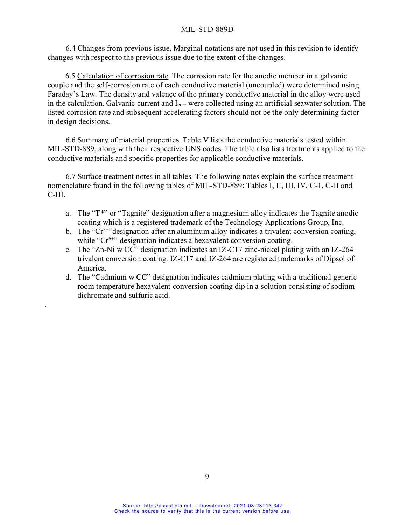6.4 Changes from previous issue. Marginal notations are not used in this revision to identify changes with respect to the previous issue due to the extent of the changes.

6.5 Calculation of corrosion rate. The corrosion rate for the anodic member in a galvanic couple and the self-corrosion rate of each conductive material (uncoupled) were determined using Faraday's Law. The density and valence of the primary conductive material in the alloy were used in the calculation. Galvanic current and I<sub>corr</sub> were collected using an artificial seawater solution. The listed corrosion rate and subsequent accelerating factors should not be the only determining factor in design decisions.

6.6 Summary of material properties. Table V lists the conductive materials tested within MIL-STD-889, along with their respective UNS codes. The table also lists treatments applied to the conductive materials and specific properties for applicable conductive materials.

6.7 Surface treatment notes in all tables. The following notes explain the surface treatment nomenclature found in the following tables of MIL-STD-889: Tables I, II, III, IV, C-1, C-II and C-III.

- a. The "T\*" or "Tagnite" designation after a magnesium alloy indicates the Tagnite anodic coating which is a registered trademark of the Technology Applications Group, Inc.
- b. The " $Cr<sup>3+1</sup>$ " designation after an aluminum alloy indicates a trivalent conversion coating, while " $Cr^{6+}$ " designation indicates a hexavalent conversion coating.
- c. The "Zn-Ni w CC" designation indicates an IZ-C17 zinc-nickel plating with an IZ-264 trivalent conversion coating. IZ-C17 and IZ-264 are registered trademarks of Dipsol of America.
- d. The "Cadmium w CC" designation indicates cadmium plating with a traditional generic room temperature hexavalent conversion coating dip in a solution consisting of sodium dichromate and sulfuric acid.

.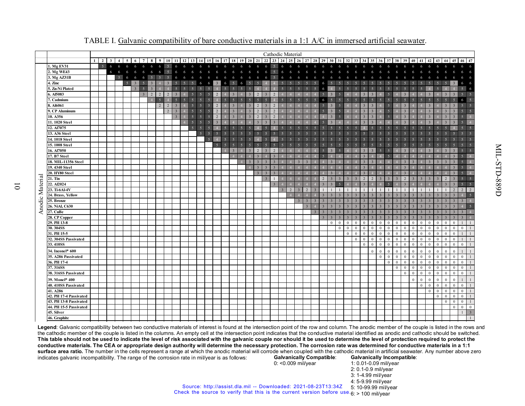|                 |                              |              |                |                         |                        |                |                         |                |          |   |                |                 |                          |                |               |  |   |    |                         |                         |                         |    | Cathodic Material |    |   |                                                          |    |          |                           |              |               |               |              |              |              |                |                |                         |              |              |              |                |                         |                          |
|-----------------|------------------------------|--------------|----------------|-------------------------|------------------------|----------------|-------------------------|----------------|----------|---|----------------|-----------------|--------------------------|----------------|---------------|--|---|----|-------------------------|-------------------------|-------------------------|----|-------------------|----|---|----------------------------------------------------------|----|----------|---------------------------|--------------|---------------|---------------|--------------|--------------|--------------|----------------|----------------|-------------------------|--------------|--------------|--------------|----------------|-------------------------|--------------------------|
|                 |                              | $\mathbf{1}$ | 2 <sup>1</sup> | $\overline{\mathbf{3}}$ | $\boldsymbol{\Lambda}$ | $\overline{5}$ |                         | 7 <sup>1</sup> | -8       | 9 | 10 I           | 11 <sup>1</sup> |                          |                |               |  |   |    |                         |                         |                         |    |                   |    |   | 12 13 14 15 16 17 18 19 20 21 22 23 24 25 26 27 28 29 30 |    |          | $31 \mid 32 \mid 33 \mid$ |              | 34            | 35            | 36           | 37           | 38           | 39             | 40             |                         | 42           |              |              | 45             | $46 \mid 47$            |                          |
|                 | 1. Mg EV31                   |              | $5-1$          | 6                       | 6                      | 6              | 6                       | -6             | 6        | 6 | 5 <sup>1</sup> | -6              |                          |                | 6             |  | 6 |    | 6                       | 6                       | 5 <sup>7</sup>          | 6  | 6                 | -6 | 6 | -6                                                       | -6 | 6        |                           |              |               |               |              |              |              |                |                |                         |              |              |              |                | 6                       |                          |
|                 | 2. Mg WE43                   |              |                | 6                       | 6                      | 6              | 6                       | 6              | 6        | 6 | -5             |                 |                          |                |               |  | 6 | -6 | 6                       | 6                       | 5 <sup>5</sup>          | -6 | 6                 | 6  |   |                                                          |    |          |                           |              |               |               |              |              |              |                |                |                         |              |              |              |                |                         |                          |
|                 | 3. Mg AZ31B                  |              |                |                         | 5 <sup>1</sup>         | 6              | 6                       | -6             |          |   |                |                 |                          |                |               |  |   |    | 6                       | -6                      |                         | -6 | 6                 |    |   |                                                          |    |          |                           |              |               |               |              |              |              |                |                |                         |              |              |              |                |                         |                          |
|                 | 4. Zinc                      |              |                |                         |                        | $\overline{5}$ | $\overline{\mathbf{3}}$ |                |          |   |                |                 |                          |                |               |  |   |    |                         |                         |                         |    |                   |    |   |                                                          |    |          |                           |              |               |               |              |              |              |                |                |                         |              |              |              |                |                         |                          |
|                 | 5. Zn-Ni Plated              |              |                |                         |                        |                |                         |                |          |   |                |                 |                          |                |               |  |   |    |                         |                         |                         |    |                   |    |   |                                                          |    |          |                           |              |               |               |              |              |              |                |                |                         |              |              |              |                | $\overline{\mathbf{a}}$ |                          |
|                 | 6. Al5083                    |              |                |                         |                        |                |                         |                | $\gamma$ |   |                |                 |                          |                |               |  |   |    |                         |                         |                         |    |                   |    |   |                                                          |    |          |                           |              |               |               |              |              |              |                |                |                         |              |              |              |                |                         | 5                        |
|                 | . Cadmium                    |              |                |                         |                        |                |                         |                |          |   |                |                 |                          |                |               |  |   |    |                         |                         |                         |    |                   |    |   |                                                          |    |          |                           |              |               |               |              |              |              |                |                |                         |              |              |              |                | 6                       |                          |
|                 | 8. Al6061                    |              |                |                         |                        |                |                         |                |          | 2 | $\overline{2}$ |                 |                          |                | $\mathcal{P}$ |  |   |    |                         |                         |                         |    |                   |    |   |                                                          |    |          |                           |              |               |               |              |              |              |                |                |                         |              |              |              |                | $\overline{\mathbf{a}}$ | $\overline{5}$           |
|                 | 9. CP Aluminum               |              |                |                         |                        |                |                         |                |          |   |                |                 |                          |                | $\mathcal{D}$ |  |   |    | 2                       |                         |                         |    |                   |    |   |                                                          |    |          |                           |              |               |               |              |              |              |                |                |                         |              |              |              |                | $\sim$                  |                          |
|                 | 10. A356                     |              |                |                         |                        |                |                         |                |          |   |                |                 | $\overline{\phantom{a}}$ |                |               |  |   |    |                         |                         |                         |    |                   |    |   |                                                          |    |          |                           |              |               |               |              |              |              |                |                |                         |              |              |              |                | $\overline{5}$          |                          |
|                 | 11.1020 Steel                |              |                |                         |                        |                |                         |                |          |   |                |                 | $\overline{\phantom{1}}$ |                |               |  |   |    |                         |                         |                         |    |                   |    |   |                                                          |    |          |                           |              |               |               |              |              |              |                |                |                         |              |              |              |                | $\overline{5}$          |                          |
|                 | 12. Al7075                   |              |                |                         |                        |                |                         |                |          |   |                |                 | $\overline{5}$           |                |               |  |   |    |                         |                         |                         |    |                   |    |   |                                                          |    |          |                           |              |               |               |              |              |              |                |                |                         |              |              |              |                | $\overline{5}$          |                          |
|                 | 13. A36 Steel                |              |                |                         |                        |                |                         |                |          |   |                |                 |                          | 5 <sup>7</sup> |               |  |   |    |                         |                         |                         |    |                   |    |   |                                                          |    |          |                           |              |               |               |              |              |              |                |                |                         |              |              |              |                |                         | $\overline{\phantom{0}}$ |
|                 | 14.1018 Steel                |              |                |                         |                        |                |                         |                |          |   |                |                 |                          |                |               |  |   |    |                         |                         |                         |    |                   |    |   |                                                          |    |          |                           |              |               |               |              |              |              |                |                |                         |              |              |              |                |                         |                          |
|                 | 15.1008 Steel                |              |                |                         |                        |                |                         |                |          |   |                |                 |                          |                |               |  |   |    |                         |                         |                         |    |                   |    |   |                                                          |    |          |                           |              |               |               |              |              |              |                |                |                         |              |              |              |                |                         |                          |
|                 | 16. Al7050                   |              |                |                         |                        |                |                         |                |          |   |                |                 |                          |                |               |  |   |    |                         |                         |                         |    |                   |    |   |                                                          |    |          |                           |              |               |               |              |              |              |                |                |                         |              |              |              |                |                         | $\overline{5}$           |
|                 | 17. B7 Steel                 |              |                |                         |                        |                |                         |                |          |   |                |                 |                          |                |               |  |   |    |                         |                         |                         |    |                   |    |   |                                                          |    |          |                           |              |               |               |              |              |              |                |                |                         |              |              |              |                | $\overline{\mathbf{5}}$ |                          |
|                 | 18. MIL-11356 Steel          |              |                |                         |                        |                |                         |                |          |   |                |                 |                          |                |               |  |   |    | 3                       |                         |                         |    |                   |    |   |                                                          |    |          |                           |              |               |               |              |              |              |                |                |                         |              |              |              |                | $\overline{5}$          |                          |
|                 | 19.4340 Steel                |              |                |                         |                        |                |                         |                |          |   |                |                 |                          |                |               |  |   |    | $\overline{\mathbf{3}}$ |                         |                         |    |                   |    |   |                                                          |    |          |                           |              |               |               |              |              |              |                |                |                         |              |              |              |                | $\overline{5}$          |                          |
|                 | 20. HY80 Steel               |              |                |                         |                        |                |                         |                |          |   |                |                 |                          |                |               |  |   |    | $\mathbf{3}$            | $\overline{\mathbf{3}}$ |                         |    |                   |    |   |                                                          |    |          |                           |              |               |               |              |              |              |                |                |                         |              |              |              |                | $\overline{5}$          |                          |
|                 | 21. Tin                      |              |                |                         |                        |                |                         |                |          |   |                |                 |                          |                |               |  |   |    |                         | $\overline{3}$          | $\overline{1}$          |    |                   |    |   |                                                          |    |          |                           |              | $\mathcal{D}$ | $\mathcal{D}$ |              |              |              | $\mathcal{D}$  |                | $\overline{\mathbf{3}}$ |              |              |              |                | $\overline{5}$          | $\overline{\phantom{0}}$ |
|                 | 22. Al2024                   |              |                |                         |                        |                |                         |                |          |   |                |                 |                          |                |               |  |   |    |                         |                         | $\overline{\mathbf{3}}$ |    |                   |    |   |                                                          |    |          |                           |              |               |               |              |              |              |                |                |                         |              |              |              |                | $\leq$                  | $\overline{5}$           |
|                 | 23. Ti-6Al-4V                |              |                |                         |                        |                |                         |                |          |   |                |                 |                          |                |               |  |   |    |                         |                         |                         |    |                   |    |   |                                                          |    |          |                           |              |               |               |              |              |              |                |                |                         |              |              |              |                | $\overline{2}$          |                          |
|                 | 24. Brass, Yellow            |              |                |                         |                        |                |                         |                |          |   |                |                 |                          |                |               |  |   |    |                         |                         |                         |    |                   |    |   |                                                          |    |          |                           |              |               |               |              |              |              |                |                |                         |              |              |              |                |                         | $\overline{\phantom{0}}$ |
|                 | 25. Bronze                   |              |                |                         |                        |                |                         |                |          |   |                |                 |                          |                |               |  |   |    |                         |                         |                         |    |                   |    |   |                                                          |    |          |                           |              |               |               |              |              |              |                |                |                         |              |              |              |                |                         |                          |
| Anodic Material | 26. NiAl, C630               |              |                |                         |                        |                |                         |                |          |   |                |                 |                          |                |               |  |   |    |                         |                         |                         |    |                   |    |   |                                                          |    |          |                           |              |               |               |              |              |              |                |                |                         |              |              |              |                |                         | $\overline{\phantom{0}}$ |
|                 | <b>27. CuBe</b>              |              |                |                         |                        |                |                         |                |          |   |                |                 |                          |                |               |  |   |    |                         |                         |                         |    |                   |    |   |                                                          |    |          |                           |              |               |               |              |              |              |                |                |                         |              |              |              |                |                         |                          |
|                 | 28. CP Copper                |              |                |                         |                        |                |                         |                |          |   |                |                 |                          |                |               |  |   |    |                         |                         |                         |    |                   |    |   |                                                          |    |          |                           |              |               |               |              |              |              |                |                |                         |              |              |              |                |                         |                          |
|                 | 29. PH 13-8                  |              |                |                         |                        |                |                         |                |          |   |                |                 |                          |                |               |  |   |    |                         |                         |                         |    |                   |    |   |                                                          |    | $\Omega$ | $\mathbf{0}$<br>$\Omega$  | $\Omega$     | $\Omega$      |               | $\Omega$     | $\Omega$     | $\Omega$     | $\theta$       |                | $\Omega$                | $\Omega$     |              | $\theta$     | £              |                         |                          |
|                 | 30.304SS                     |              |                |                         |                        |                |                         |                |          |   |                |                 |                          |                |               |  |   |    |                         |                         |                         |    |                   |    |   |                                                          |    |          | $\mathbf{0}$<br>$\Omega$  | $\Omega$     | $\theta$      | $\Omega$      |              | $\Omega$     | $\Omega$     | $\theta$       | $\Omega$       |                         | $\Omega$     |              | $\Omega$     | $\Omega$       | $\theta$                |                          |
|                 | 31. PH 15-5                  |              |                |                         |                        |                |                         |                |          |   |                |                 |                          |                |               |  |   |    |                         |                         |                         |    |                   |    |   |                                                          |    |          | $\mathbf{0}$              | $\mathbf{0}$ | $\mathbf{0}$  | $\Omega$      | $\Omega$     | $\theta$     | $\theta$     | $\theta$       | $\Omega$       | $\Omega$                | $\Omega$     |              | $\theta$     | $\Omega$       |                         |                          |
|                 | 32.304SS Passivated          |              |                |                         |                        |                |                         |                |          |   |                |                 |                          |                |               |  |   |    |                         |                         |                         |    |                   |    |   |                                                          |    |          |                           | $\mathbf{0}$ | $\mathbf{0}$  | $\Omega$      | $\theta$     | $\Omega$     | $\mathbf{0}$ | $\theta$       | $\mathbf{0}$   | $\theta$                | $\Omega$     |              | $\theta$     | $\Omega$       |                         |                          |
|                 | 33.410SS                     |              |                |                         |                        |                |                         |                |          |   |                |                 |                          |                |               |  |   |    |                         |                         |                         |    |                   |    |   |                                                          |    |          |                           |              | $\mathbf{0}$  | $\Omega$      | $\mathbf{0}$ | $\mathbf{0}$ | $\mathbf{0}$ | $\mathbf{0}$   | $\mathbf{0}$   | $\mathbf{0}$            | $\mathbf{0}$ | $\theta$     | $\mathbf{0}$ | $\Omega$       | $\mathbf{0}$            |                          |
|                 | 34. Inconel <sup>®</sup> 600 |              |                |                         |                        |                |                         |                |          |   |                |                 |                          |                |               |  |   |    |                         |                         |                         |    |                   |    |   |                                                          |    |          |                           |              |               | $\theta$      | $\Omega$     | $\mathbf{0}$ | $\Omega$     | $\mathbf{0}$   | $\Omega$       | $\Omega$                | $\Omega$     |              | $\theta$     | $\epsilon$     | $\mathbf{1}$            |                          |
|                 | 35. A286 Passivated          |              |                |                         |                        |                |                         |                |          |   |                |                 |                          |                |               |  |   |    |                         |                         |                         |    |                   |    |   |                                                          |    |          |                           |              |               |               | $\mathbf{0}$ | $\mathbf{0}$ | $\mathbf{0}$ | $\mathbf{0}$   | $\mathbf{0}$   | $\overline{0}$          | $\mathbf{0}$ | $\mathbf{0}$ | $\mathbf{0}$ | $\mathbf{0}$   | $\theta$                | $\mathbf{1}$             |
|                 | 36. PH 17-4                  |              |                |                         |                        |                |                         |                |          |   |                |                 |                          |                |               |  |   |    |                         |                         |                         |    |                   |    |   |                                                          |    |          |                           |              |               |               |              | $\mathbf{0}$ | $\mathbf{0}$ | $\mathbf{0}$   | $\Omega$       | $\Omega$                | $\Omega$     | $\Omega$     | $\theta$     | $\Omega$       | $\mathbf{0}$            |                          |
|                 | 37.316SS                     |              |                |                         |                        |                |                         |                |          |   |                |                 |                          |                |               |  |   |    |                         |                         |                         |    |                   |    |   |                                                          |    |          |                           |              |               |               |              |              | $\theta$     | $\mathbf{0}$   | $\theta$       | $\Omega$                | $\theta$     | $\Omega$     | $\theta$     | $\Omega$       | $\theta$                |                          |
|                 | 38.316SS Passivated          |              |                |                         |                        |                |                         |                |          |   |                |                 |                          |                |               |  |   |    |                         |                         |                         |    |                   |    |   |                                                          |    |          |                           |              |               |               |              |              |              | $\overline{0}$ | $\overline{0}$ | $\overline{0}$          | $\mathbf{0}$ | $\theta$     | $\Omega$     | $\theta$       | $\overline{0}$          |                          |
|                 | 39. Monel <sup>®</sup> 400   |              |                |                         |                        |                |                         |                |          |   |                |                 |                          |                |               |  |   |    |                         |                         |                         |    |                   |    |   |                                                          |    |          |                           |              |               |               |              |              |              |                | $\Omega$       | $\Omega$                | $\theta$     | $\Omega$     | $\theta$     | $\Omega$       | $\mathbf{1}$            |                          |
|                 | 40. 410SS Passivated         |              |                |                         |                        |                |                         |                |          |   |                |                 |                          |                |               |  |   |    |                         |                         |                         |    |                   |    |   |                                                          |    |          |                           |              |               |               |              |              |              |                |                | $\theta$                | $\bf{0}$     | $\mathbf{0}$ | $\mathbf{0}$ | $\theta$       | $\theta$                |                          |
|                 | 41. A286                     |              |                |                         |                        |                |                         |                |          |   |                |                 |                          |                |               |  |   |    |                         |                         |                         |    |                   |    |   |                                                          |    |          |                           |              |               |               |              |              |              |                |                |                         | $\mathbf{0}$ | $\theta$     | $\Omega$     | $\Omega$       | $\mathbf{0}$            |                          |
|                 | 42. PH 17-4 Passivated       |              |                |                         |                        |                |                         |                |          |   |                |                 |                          |                |               |  |   |    |                         |                         |                         |    |                   |    |   |                                                          |    |          |                           |              |               |               |              |              |              |                |                |                         |              | $\theta$     | $\mathbf{0}$ | $\overline{0}$ | $\overline{0}$          |                          |
|                 | 43. PH 13-8 Passivated       |              |                |                         |                        |                |                         |                |          |   |                |                 |                          |                |               |  |   |    |                         |                         |                         |    |                   |    |   |                                                          |    |          |                           |              |               |               |              |              |              |                |                |                         |              |              | $\mathbf{0}$ | $\overline{0}$ | $\overline{0}$          |                          |
|                 | 44. PH 15-5 Passivated       |              |                |                         |                        |                |                         |                |          |   |                |                 |                          |                |               |  |   |    |                         |                         |                         |    |                   |    |   |                                                          |    |          |                           |              |               |               |              |              |              |                |                |                         |              |              |              | $\Omega$       | $\mathbf{0}$            | $\mathbf{0}$             |
|                 | 45. Silver                   |              |                |                         |                        |                |                         |                |          |   |                |                 |                          |                |               |  |   |    |                         |                         |                         |    |                   |    |   |                                                          |    |          |                           |              |               |               |              |              |              |                |                |                         |              |              |              |                | $\overline{1}$          | $\overline{3}$           |
|                 | 46. Graphite                 |              |                |                         |                        |                |                         |                |          |   |                |                 |                          |                |               |  |   |    |                         |                         |                         |    |                   |    |   |                                                          |    |          |                           |              |               |               |              |              |              |                |                |                         |              |              |              |                |                         | $\overline{1}$           |

#### TABLE I. Galvanic compatibility of bare conductive materials in a 1:1 A/C in immersed artificial seawater.

**Legend**: Galvanic compatibility between two conductive materials of interest is found at the intersection point of the row and column. The anodic member of the couple is listed in the rows and the cathodic member of the couple is listed in the columns. An empty cell at the intersection point indicates that the conductive material identified as anodic and cathodic should be switched. **This table should not be used to indicate the level of risk associated with the galvanic couple nor should it be used to determine the level of protection required to protect the conductive materials. The CEA or appropriate design authority will determine the necessary protection. The corrosion rate was determined for conductive materials in a 1:1**  surface area ratio. The number in the cells represent a range at which the anodic material will corrode when coupled with the cathodic material in artificial seawater. Any number above zero indicates galvanic incompatibility. The range of the corrosion rate in mil/year is as follows: **Galvanically Incompatible**: **Galvanically Compatible**:

0: <0.009 mil/year

1: 0.01-0.09 mil/year

MIL-STD-889D

**MIL-STD-889D** 

2: 0.1-0.9 mil/year

3: 1-4.99 mil/year

4: 5-9.99 mil/year

5: 10-99.99 mil/year Check the source to verify that this is the current version before use  $6 > 100$  mil/year Source: http://assist.dla.mil -- Downloaded: 2021-08-23T13:34Z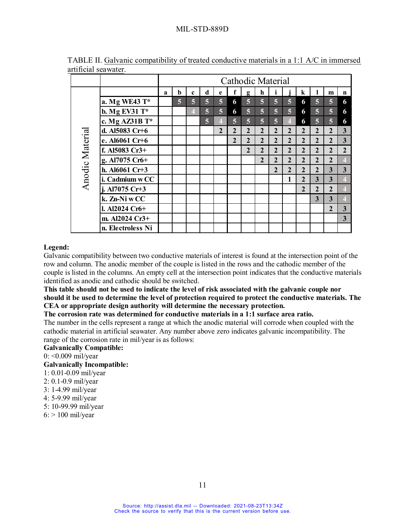|                 |                   |   | Cathodic Material |             |   |                |                |                |                |                |                |                |                |                |                         |
|-----------------|-------------------|---|-------------------|-------------|---|----------------|----------------|----------------|----------------|----------------|----------------|----------------|----------------|----------------|-------------------------|
|                 |                   | a | b                 | $\mathbf c$ | d | e              |                | g              | h              |                |                | $\bf k$        |                | m              | $\mathbf n$             |
|                 | a. Mg WE43 T*     |   | $\overline{5}$    | 5           | 5 | $\overline{5}$ | 6              | 5              | 5              | 5              | 5              | 6              | 5              | $\overline{5}$ | 6                       |
|                 | b. Mg EV31 $T^*$  |   |                   | 4           | 5 | $\overline{5}$ | 6              | 5              | $\overline{5}$ | 5              | $\overline{5}$ | 6              | $\overline{5}$ | $\overline{5}$ | 6                       |
|                 | c. Mg AZ31B T*    |   |                   |             | 5 | $\overline{4}$ | $\overline{5}$ | 5              | $\overline{5}$ | $\overline{5}$ | $\overline{4}$ | 6              | $\overline{5}$ | $\overline{5}$ | 6                       |
|                 | d. Al5083 Cr+6    |   |                   |             |   | $\overline{2}$ | $\overline{2}$ | $\overline{2}$ | $\overline{2}$ | $\overline{2}$ | $\overline{2}$ | $\overline{2}$ | $\overline{2}$ | $\mathbf{2}$   | $\mathbf{3}$            |
|                 | e. Al6061 Cr+6    |   |                   |             |   |                | $\overline{2}$ | $\overline{2}$ | $\overline{2}$ | $\overline{2}$ | $\overline{2}$ | $\overline{2}$ | $\overline{2}$ | $\mathbf{2}$   | $\overline{3}$          |
| Anodic Material | f. Al5083 Cr3+    |   |                   |             |   |                |                | $\overline{2}$ | $\overline{2}$ | $\overline{2}$ | $\overline{2}$ | $\overline{2}$ | $\overline{2}$ | $\mathbf{2}$   | $\overline{2}$          |
|                 | g. Al7075 Cr6+    |   |                   |             |   |                |                |                | $\mathbf{2}$   | $\overline{2}$ | $\overline{2}$ | $\overline{2}$ | $\overline{2}$ | $\overline{2}$ | $\overline{4}$          |
|                 | h. Al6061 Cr+3    |   |                   |             |   |                |                |                |                | $\overline{2}$ | $\overline{2}$ | $\mathbf{2}$   | $\overline{2}$ | 3              | $\overline{3}$          |
|                 | i. Cadmium w CC   |   |                   |             |   |                |                |                |                |                | 1              | $\overline{2}$ | 3              | 3              | 4                       |
|                 | j. Al7075 Cr+3    |   |                   |             |   |                |                |                |                |                |                | $\overline{2}$ | 2              | $\overline{2}$ | $\overline{4}$          |
|                 | k. Zn-Ni w CC     |   |                   |             |   |                |                |                |                |                |                |                | 3              | 3              | 4                       |
|                 | l. Al2024 Cr6+    |   |                   |             |   |                |                |                |                |                |                |                |                | $\mathbf{2}$   | $\mathbf{3}$            |
|                 | m. Al2024 Cr3+    |   |                   |             |   |                |                |                |                |                |                |                |                |                | $\overline{\mathbf{3}}$ |
|                 | n. Electroless Ni |   |                   |             |   |                |                |                |                |                |                |                |                |                |                         |

TABLE II. Galvanic compatibility of treated conductive materials in a 1:1 A/C in immersed artificial seawater.

#### **Legend:**

Galvanic compatibility between two conductive materials of interest is found at the intersection point of the row and column. The anodic member of the couple is listed in the rows and the cathodic member of the couple is listed in the columns. An empty cell at the intersection point indicates that the conductive materials identified as anodic and cathodic should be switched.

**This table should not be used to indicate the level of risk associated with the galvanic couple nor should it be used to determine the level of protection required to protect the conductive materials. The CEA or appropriate design authority will determine the necessary protection.**

**The corrosion rate was determined for conductive materials in a 1:1 surface area ratio.**

The number in the cells represent a range at which the anodic material will corrode when coupled with the cathodic material in artificial seawater. Any number above zero indicates galvanic incompatibility. The range of the corrosion rate in mil/year is as follows:

#### **Galvanically Compatible:**

0: <0.009 mil/year

#### **Galvanically Incompatible:**

1: 0.01-0.09 mil/year

- 2: 0.1-0.9 mil/year
- 3: 1-4.99 mil/year
- 4: 5-9.99 mil/year
- 5: 10-99.99 mil/year
- $6:$  > 100 mil/year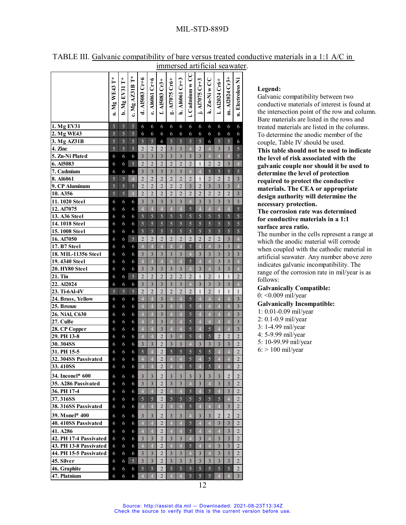|                              |               |               |                 |                         |                         |                         |                         |                         |                 |                         |                         |                         |                         | minici scu aftricial scawatch |  |
|------------------------------|---------------|---------------|-----------------|-------------------------|-------------------------|-------------------------|-------------------------|-------------------------|-----------------|-------------------------|-------------------------|-------------------------|-------------------------|-------------------------------|--|
|                              | a. Mg WE43 T* | b. Mg EV31 T* | c. Mg $XZAB$ T* | d. AI5083 Cr+6          | e. A16061 Cr+6          | f. AI5083 Cr3+          | g. A17075 Cr6+          | п. А16061 Ст+3          | i. Cadmium w CC | j. A17075 Cr+3          | k. $Zn-Ni$ w CC         | 1. A12024 Cr6+          | m. Al2024 Cr3+          | Electroless Ni<br>₫           |  |
| 1. Mg EV31                   | 5             | 5             | $\mathfrak{S}$  | 6                       | 6                       | 6                       | 6                       | 6                       | 6               | $\sqrt{6}$              | 6                       | 6                       | 6                       | 6                             |  |
| 2. Mg WE43                   | 5             | 5             | 5               | 6                       | 6                       | 6                       | 6                       | 6                       | 6               | 6                       | 6                       | 6                       | 6                       | 6                             |  |
| 3. Mg AZ31B                  | 5             | 5             | 5               | 5                       | 5                       | 6                       | 5                       | 5                       | 5               | 5                       | 6                       | 5                       | 5                       | 6                             |  |
| 4. Zinc                      | 5             | 5             | 5               | $\overline{2}$          | $\overline{2}$          | $\overline{2}$          | 3                       | 3                       | $\overline{4}$  | $\overline{2}$          | $\overline{4}$          | 3                       | 3                       | 5                             |  |
| 5. Zn-Ni Plated              | 6             | 6             | 6               | 3                       | 3                       | $\overline{\mathbf{3}}$ | $\overline{3}$          | $\overline{\mathbf{3}}$ | 3               | $\overline{\mathbf{3}}$ | $\overline{\mathbf{4}}$ | $\overline{4}$          | $\overline{4}$          | 5                             |  |
| 6. Al5083                    | 6             | 6             | 5               | $\overline{2}$          | $\overline{2}$          | $\overline{2}$          | $\overline{2}$          | $\overline{2}$          | $\overline{2}$  | $\mathbf{1}$            | $\overline{2}$          | $\overline{2}$          | 3                       | $\overline{4}$                |  |
| 7. Cadmium                   | 6             | 6             | 6               | $\overline{\mathbf{3}}$ | $\overline{\mathbf{3}}$ | $\overline{\mathbf{3}}$ | $\overline{3}$          | $\overline{\mathbf{3}}$ | $\overline{4}$  | $\overline{4}$          | $\overline{5}$          | 5                       | 5                       | $\overline{5}$                |  |
| 8. Al6061                    | 5             | 5             | $\overline{4}$  | $\overline{2}$          | $\overline{2}$          | $\overline{2}$          | $\overline{2}$          | $\overline{2}$          | $\overline{2}$  | $\mathbf{1}$            | $\overline{2}$          | $\overline{2}$          | $\overline{2}$          | 3                             |  |
| 9. CP Aluminum               | 5             | 5             | 5               | $\overline{2}$          | $\overline{2}$          | $\overline{2}$          | $\overline{2}$          | $\overline{2}$          | $\overline{3}$  | $\overline{2}$          | $\overline{\mathbf{3}}$ | 3                       | $\overline{\mathbf{3}}$ | $\overline{4}$                |  |
| 10. A356                     | 5             | 5             | $\overline{4}$  | $\overline{2}$          | $\overline{2}$          | $\overline{2}$          | $\overline{2}$          | $\overline{2}$          | $\overline{2}$  | $\overline{2}$          | $\overline{2}$          | $\overline{2}$          | $\overline{2}$          | $\overline{\mathbf{3}}$       |  |
| 11. 1020 Steel               | 6             | 6             | 6               | $\overline{\mathbf{3}}$ | $\overline{\mathbf{3}}$ | $\overline{3}$          | $\overline{\mathbf{3}}$ | $\overline{3}$          | $\overline{4}$  | $\overline{\mathbf{3}}$ | $\overline{3}$          | $\overline{\mathbf{3}}$ | $\overline{\mathbf{3}}$ | $\overline{\mathbf{3}}$       |  |
| 12. Al7075                   | 6             | 6             | 6               | $\overline{4}$          | $\overline{4}$          | $\overline{4}$          | $\overline{4}$          | $\overline{4}$          | 5               | $\overline{4}$          | $\overline{4}$          | $\overline{4}$          | $\overline{4}$          | $\overline{5}$                |  |
| $\overline{13}$ . A36 Steel  | 6             | 6             | 6               | 5                       | 5                       | 5                       | 5                       | 5                       | 5               | 5                       | 5                       | 5                       | 5                       | 5                             |  |
| 14.1018 Steel                | 6             | 6             | 6               | 5                       | 5                       | 5                       | 5                       | 5                       | 5               | 5                       | 5                       | 5                       | 5                       | 5                             |  |
| 15.1008 Steel                | 6             | 6             | 6               | 5                       | 5                       | 5                       | 5                       | 5                       | 5               | 5                       | 5                       | 5                       | 5                       | 5                             |  |
| 16. Al7050                   | 6             | 6             | 5               | $\overline{2}$          | $\overline{2}$          | $\overline{c}$          | $\overline{2}$          | $\overline{2}$          | $\overline{2}$  | $\overline{2}$          | $\overline{c}$          | $\overline{2}$          | $\overline{\mathbf{3}}$ | $\overline{4}$                |  |
| $17. B7$ Steel               | 6             | 6             | 6               | $\overline{4}$          | $\overline{4}$          | $\overline{4}$          | $\overline{4}$          | $\overline{4}$          | 5               | $\overline{4}$          | $\overline{4}$          | $\overline{\mathbf{3}}$ | $\overline{\mathbf{3}}$ | $\overline{4}$                |  |
| 18. MIL-11356 Steel          | 6             | 6             | 6               | $\overline{\mathbf{3}}$ | $\overline{3}$          | 3                       | $\overline{3}$          | 3                       | $\overline{4}$  | 3                       | 3                       | $\overline{\mathbf{3}}$ | $\overline{\mathbf{3}}$ | 3                             |  |
| 19.4340 Steel                | 6             | 6             | 6               | $\overline{4}$          | $\overline{4}$          | $\overline{4}$          | $\overline{4}$          | $\overline{4}$          | 5               | $\overline{4}$          | $\overline{4}$          | $\overline{\mathbf{3}}$ | $\overline{3}$          | $\overline{4}$                |  |
| 20. HY80 Steel               | 6             | 6             | 6               | 3                       | $\overline{\mathbf{3}}$ | $\overline{\mathbf{3}}$ | $\overline{\mathbf{3}}$ | $\overline{\mathbf{3}}$ | $\overline{4}$  | $\overline{\mathbf{3}}$ | $\overline{4}$          | $\overline{\mathbf{3}}$ | $\overline{\mathbf{3}}$ | $\overline{4}$                |  |
| 21. Tin                      | 6             | 6             | 5               | $\overline{2}$          | $\overline{2}$          | $\overline{2}$          | $\overline{2}$          | $\overline{2}$          | $\overline{2}$  | $\mathbf{1}$            | $\overline{2}$          | $\mathbf{1}$            | $\mathbf{1}$            | $\overline{2}$                |  |
| 22. Al2024                   | 6             | 6             | 6               | $\overline{\mathbf{3}}$ | $\overline{\mathbf{3}}$ | $\overline{\mathbf{3}}$ | $\overline{\mathbf{3}}$ | $\overline{\mathbf{3}}$ | $\overline{4}$  | $\overline{3}$          | $\overline{\mathbf{3}}$ | $\overline{\mathbf{3}}$ | $\overline{\mathbf{3}}$ | $\overline{4}$                |  |
| 23. Ti-6Al-4V                | 5             | 5             | 5               | $\overline{2}$          | $\overline{2}$          | $\overline{2}$          | $\overline{2}$          | $\overline{2}$          | $\overline{2}$  | $\mathbf{1}$            | $\overline{2}$          | $\mathbf{1}$            | $\mathbf{1}$            | 1                             |  |
| 24. Brass, Yellow            | 6             | 6             | 6               | $\overline{4}$          | $\overline{4}$          | $\overline{3}$          | $\overline{4}$          | $\overline{4}$          | 5               | $\overline{4}$          | $\overline{4}$          | $\overline{4}$          | $\overline{4}$          | $\overline{3}$                |  |
| 25. Bronze                   | 6             | 6             | 6               | $\overline{4}$          | $\overline{4}$          | $\overline{\mathbf{3}}$ | $\overline{4}$          | $\overline{4}$          | 5               | $\overline{4}$          | $\overline{4}$          | $\overline{4}$          | $\overline{4}$          | $\overline{3}$                |  |
| 26. NiAl, C630               | 6             | 6             | 6               | $\overline{4}$          | $\overline{4}$          | $\overline{\mathbf{3}}$ | $\overline{4}$          | $\overline{4}$          | 5               | $\overline{4}$          | $\overline{4}$          | $\overline{4}$          | $\overline{4}$          | $\overline{\mathbf{3}}$       |  |
| 27. CuBe                     | 6             | 6             | 6               | $\overline{4}$          | $\overline{4}$          | $\overline{3}$          | $\overline{4}$          | $\overline{4}$          | 5               | $\overline{4}$          | $\overline{4}$          | $\overline{4}$          | $\overline{4}$          | $\overline{\mathbf{3}}$       |  |
| 28. CP Copper                | 6             | 6             | 6               | $\overline{4}$          | $\overline{4}$          | $\overline{\mathbf{3}}$ | $\overline{4}$          | $\overline{4}$          | 5               | $\overline{4}$          | 5                       | $\overline{4}$          | $\overline{4}$          | $\overline{\mathbf{3}}$       |  |
| 29. PH 13-8                  | 6             | 6             | 6               | $\overline{4}$          | $\overline{4}$          | $\overline{c}$          | 3                       | $\overline{4}$          | 5               | $\overline{4}$          | 5                       | $\overline{2}$          | $\overline{2}$          | $\overline{c}$                |  |
| 30.304SS                     | 6             | 6             | 6               | 3                       | $\overline{3}$          | $\overline{2}$          | 3                       | 3                       | $\overline{4}$  | $\overline{3}$          | $\overline{\mathbf{3}}$ | 3                       | $\overline{3}$          | $\overline{2}$                |  |
| 31. PH 15-5                  | 6             | 6             | 6               | 5                       | $\overline{4}$          | $\overline{2}$          | 5                       | 5                       | 5               | 5                       | 5                       | $\overline{4}$          | $\overline{4}$          | $\overline{2}$                |  |
| 32.304SS Passivated          | 6             | 6             | 6               | $\overline{4}$          | $\overline{4}$          | $\overline{2}$          | $\overline{4}$          | $\overline{4}$          | 5               | $\overline{4}$          | 5                       | $\overline{4}$          | $\overline{4}$          | $\overline{c}$                |  |
| 33.410SS                     | 6             | 6             | 6               | $\overline{4}$          | $\overline{4}$          | 2                       | $\overline{4}$          | $\overline{4}$          | 5               | $\overline{4}$          | 5                       | $\overline{4}$          | $\overline{4}$          | $\overline{c}$                |  |
| 34. Inconel <sup>®</sup> 600 | 6             | 6             | 6               | $\overline{3}$          | 3                       | $\overline{2}$          | 3                       | 3                       | 3               | 3                       | 3                       | 3                       | $\overline{2}$          | $\overline{2}$                |  |
| 35. A286 Passivated          | 6             | 6             | 6               | 3                       | 3                       | $\overline{2}$          | 3                       | 3                       | $\overline{4}$  | 3                       | $\overline{4}$          | 3                       | 3                       | 2                             |  |
| 36. PH 17-4                  | 6             | 6             | 6               | $\overline{4}$          | $\overline{4}$          | $\overline{2}$          | $\overline{4}$          | $\overline{4}$          | 5               | $\overline{4}$          | 5                       | $\overline{4}$          | 3                       | $\overline{2}$                |  |
| 37.316SS                     | 6             | 6             | 6               | $\sqrt{5}$              | 5                       | 2                       | 5                       | 5                       | $\mathfrak{S}$  | $\mathfrak{S}$          | 5                       | 5                       | $\overline{4}$          | 2                             |  |
| <b>38. 316SS Passivated</b>  | 6             | 6             | 6               | $\overline{4}$          | $\overline{4}$          | $\overline{2}$          | $\overline{4}$          | $\overline{4}$          | 5               | $\overline{4}$          | $\overline{4}$          | $\overline{4}$          | 3                       | 2                             |  |
| 39. Monel <sup>®</sup> 400   | 6             | 6             | 6               | $\mathfrak{Z}$          | 3                       | $\overline{2}$          | 3                       | 3                       | $\overline{4}$  | 3                       | 3                       | 2                       | $\overline{2}$          | 2                             |  |
| 40.410SS Passivated          | 6             | 6             | 6               | $\overline{4}$          | $\overline{4}$          | $\overline{2}$          | $\overline{4}$          | $\overline{4}$          | 5               | $\overline{4}$          | $\overline{4}$          | 3                       | 3                       | $\overline{2}$                |  |
| 41. A286                     | 6             | 6             | 6               | $\overline{4}$          | $\overline{4}$          | $\overline{c}$          | $\overline{4}$          | $\overline{4}$          | 5               | $\overline{4}$          | $\overline{4}$          | $\overline{4}$          | 3                       | 2                             |  |
| 42. PH 17-4 Passivated       | 6             | 6             | 6               | 3                       | 3                       | $\overline{2}$          | 3                       | 3                       | $\overline{4}$  | 3                       | $\overline{4}$          | 3                       | 3                       | 2                             |  |
| 43. PH 13-8 Passivated       | 6             | 6             | 6               | $\overline{4}$          | $\overline{4}$          | $\overline{2}$          | $\overline{4}$          | $\overline{4}$          | 5               | $\overline{4}$          | $\overline{4}$          | 3                       | 3                       | 2                             |  |
| 44. PH 15-5 Passivated       | 6             | 6             | 6               | 3                       | 3                       | 2                       | 3                       | 3                       | $\overline{4}$  | 3                       | 4                       | 3                       | 3                       | 2                             |  |
| 45. Silver                   | 6             | 6             | 5               | 3                       | 3                       | $\overline{2}$          | 3                       | 3                       | 3               | 3                       | 3                       | 3                       | 3                       | $\overline{2}$                |  |
| 46. Graphite                 | 6             | 6             | 6               | 5                       | 5                       | 2                       | 5                       | 5                       | 5               | 5                       | 5                       | 5                       | 5                       | 2                             |  |
| 47. Platnium                 | 6             | 6             | 6               | $\overline{4}$          | $\overline{4}$          | $\overline{c}$          | $\overline{4}$          | $\overline{4}$          | 5               | 5                       | 5                       | $\overline{4}$          | $\overline{4}$          | $\overline{\mathbf{3}}$       |  |

#### TABLE III. Galvanic compatibility of bare versus treated conductive materials in a 1:1 A/C in immersed artificial seawater.

#### **Legend:**

Galvanic compatibility between two conductive materials of interest is found at the intersection point of the row and column. Bare materials are listed in the rows and treated materials are listed in the columns. To determine the anodic member of the couple, Table IV should be used. **This table should not be used to indicate the level of risk associated with the galvanic couple nor should it be used to determine the level of protection required to protect the conductive materials. The CEA or appropriate design authority will determine the necessary protection.**

**The corrosion rate was determined for conductive materials in a 1:1 surface area ratio.**

The number in the cells represent a range at which the anodic material will corrode when coupled with the cathodic material in artificial seawater. Any number above zero indicates galvanic incompatibility. The range of the corrosion rate in mil/year is as follows:

#### **Galvanically Compatible:** 0: <0.009 mil/year

#### **Galvanically Incompatible:**

- 1: 0.01-0.09 mil/year
- 2: 0.1-0.9 mil/year
- 3: 1-4.99 mil/year
- 4: 5-9.99 mil/year
- 5: 10-99.99 mil/year
- 6: > 100 mil/year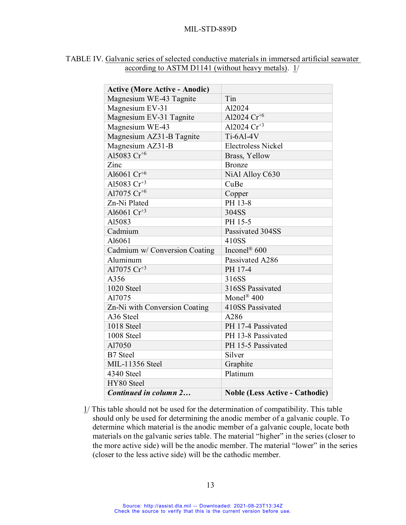| <b>Active (More Active - Anodic)</b> |                                       |
|--------------------------------------|---------------------------------------|
| Magnesium WE-43 Tagnite              | Tin                                   |
| Magnesium EV-31                      | Al2024                                |
| Magnesium EV-31 Tagnite              | Al2024 $Cr^{+6}$                      |
| Magnesium WE-43                      | Al2024 $Cr^{+3}$                      |
| Magnesium AZ31-B Tagnite             | $Ti-6Al-4V$                           |
| Magnesium AZ31-B                     | <b>Electroless Nickel</b>             |
| Al5083 $Cr^{+6}$                     | Brass, Yellow                         |
| Zinc                                 | <b>Bronze</b>                         |
| Al6061 Cr <sup>+6</sup>              | NiAl Alloy C630                       |
| Al5083 $Cr^{+3}$                     | CuBe                                  |
| Al7075 $Cr^{+6}$                     | Copper                                |
| Zn-Ni Plated                         | PH 13-8                               |
| Al6061 $Cr^{+3}$                     | 304SS                                 |
| Al5083                               | PH 15-5                               |
| Cadmium                              | Passivated 304SS                      |
| Al6061                               | 410SS                                 |
| Cadmium w/ Conversion Coating        | Inconel® 600                          |
| Aluminum                             | Passivated A286                       |
| Al7075 $Cr^{+3}$                     | PH 17-4                               |
| A356                                 | 316SS                                 |
| 1020 Steel                           | 316SS Passivated                      |
| Al7075                               | Monel <sup>®</sup> 400                |
| Zn-Ni with Conversion Coating        | 410SS Passivated                      |
| A <sub>36</sub> Steel                | A286                                  |
| 1018 Steel                           | PH 17-4 Passivated                    |
| 1008 Steel                           | PH 13-8 Passivated                    |
| Al7050                               | PH 15-5 Passivated                    |
| <b>B7</b> Steel                      | Silver                                |
| <b>MIL-11356</b> Steel               | Graphite                              |
| 4340 Steel                           | Platinum                              |
| HY80 Steel                           |                                       |
| Continued in column 2                | <b>Noble (Less Active - Cathodic)</b> |

## TABLE IV. Galvanic series of selected conductive materials in immersed artificial seawater according to ASTM D1141 (without heavy metals). 1/

1/ This table should not be used for the determination of compatibility. This table should only be used for determining the anodic member of a galvanic couple. To determine which material is the anodic member of a galvanic couple, locate both materials on the galvanic series table. The material "higher" in the series (closer to the more active side) will be the anodic member. The material "lower" in the series (closer to the less active side) will be the cathodic member.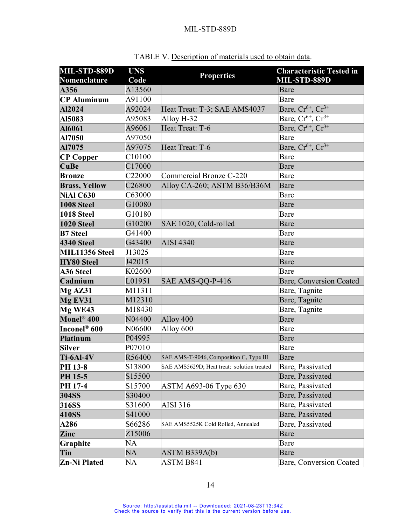| MIL-STD-889D                     | <b>UNS</b> | <b>Properties</b>                          | <b>Characteristic Tested in</b> |
|----------------------------------|------------|--------------------------------------------|---------------------------------|
| Nomenclature                     | Code       |                                            | MIL-STD-889D                    |
| A356                             | A13560     |                                            | Bare                            |
| <b>CP</b> Aluminum               | A91100     |                                            | Bare                            |
| Al2024                           | A92024     | Heat Treat: T-3; SAE AMS4037               | Bare, $Cr^{6+}$ , $Cr^{3+}$     |
| AI5083                           | A95083     | Alloy H-32                                 | Bare, $Cr^{6+}$ , $Cr^{3+}$     |
| Al6061                           | A96061     | Heat Treat: T-6                            | Bare, $Cr^{6+}$ , $Cr^{3+}$     |
| Al7050                           | A97050     |                                            | Bare                            |
| Al7075                           | A97075     | Heat Treat: T-6                            | Bare, $Cr^{6+}$ , $Cr^{3+}$     |
| <b>CP Copper</b>                 | C10100     |                                            | Bare                            |
| <b>CuBe</b>                      | C17000     |                                            | Bare                            |
| <b>Bronze</b>                    | C22000     | Commercial Bronze C-220                    | Bare                            |
| <b>Brass, Yellow</b>             | C26800     | Alloy CA-260; ASTM B36/B36M                | Bare                            |
| NiAl C630                        | C63000     |                                            | Bare                            |
| 1008 Steel                       | G10080     |                                            | Bare                            |
| 1018 Steel                       | G10180     |                                            | Bare                            |
| 1020 Steel                       | G10200     | SAE 1020, Cold-rolled                      | Bare                            |
| <b>B7</b> Steel                  | G41400     |                                            | Bare                            |
| <b>4340 Steel</b>                | G43400     | <b>AISI 4340</b>                           | Bare                            |
| MIL11356 Steel                   | J13025     |                                            | Bare                            |
| <b>HY80 Steel</b>                | J42015     |                                            | Bare                            |
| <b>A36 Steel</b>                 | K02600     |                                            | Bare                            |
| Cadmium                          | L01951     | SAE AMS-QQ-P-416                           | Bare, Conversion Coated         |
| $Mg$ AZ31                        | M11311     |                                            | Bare, Tagnite                   |
| Mg EV31                          | M12310     |                                            | Bare, Tagnite                   |
| Mg WE43                          | M18430     |                                            | Bare, Tagnite                   |
| $\mathbf{Monel}^{\circledR}$ 400 | N04400     | Alloy 400                                  | Bare                            |
| Inconel <sup>®</sup> 600         | N06600     | Alloy 600                                  | Bare                            |
| <b>Platinum</b>                  | P04995     |                                            | Bare                            |
| <b>Silver</b>                    | P07010     |                                            | Bare                            |
| Ti-6Al-4V                        | R56400     | SAE AMS-T-9046, Composition C, Type III    | Bare                            |
| PH 13-8                          | S13800     | SAE AMS5629D; Heat treat: solution treated | Bare, Passivated                |
| PH 15-5                          | S15500     |                                            | Bare, Passivated                |
| PH 17-4                          | S15700     | ASTM A693-06 Type 630                      | Bare, Passivated                |
| 304SS                            | S30400     |                                            | Bare, Passivated                |
| 316SS                            | S31600     | AISI 316                                   | Bare, Passivated                |
| <b>410SS</b>                     | S41000     |                                            | Bare, Passivated                |
| <b>A286</b>                      | S66286     | SAE AMS5525K Cold Rolled, Annealed         | Bare, Passivated                |
| Zinc                             | Z15006     |                                            | Bare                            |
| Graphite                         | NA         |                                            | Bare                            |
| Tin                              | NA         | ASTM B339A(b)                              | Bare                            |
| Zn-Ni Plated                     | NA         | ASTM B841                                  | Bare, Conversion Coated         |

TABLE V. Description of materials used to obtain data.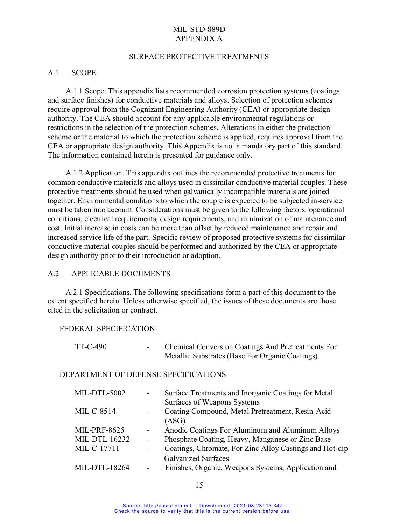#### SURFACE PROTECTIVE TREATMENTS

#### A.1 SCOPE

A.1.1 Scope. This appendix lists recommended corrosion protection systems (coatings and surface finishes) for conductive materials and alloys. Selection of protection schemes require approval from the Cognizant Engineering Authority (CEA) or appropriate design authority. The CEA should account for any applicable environmental regulations or restrictions in the selection of the protection schemes. Alterations in either the protection scheme or the material to which the protection scheme is applied, requires approval from the CEA or appropriate design authority. This Appendix is not a mandatory part of this standard. The information contained herein is presented for guidance only.

A.1.2 Application. This appendix outlines the recommended protective treatments for common conductive materials and alloys used in dissimilar conductive material couples. These protective treatments should be used when galvanically incompatible materials are joined together. Environmental conditions to which the couple is expected to be subjected in-service must be taken into account. Considerations must be given to the following factors: operational conditions, electrical requirements, design requirements, and minimization of maintenance and cost. Initial increase in costs can be more than offset by reduced maintenance and repair and increased service life of the part. Specific review of proposed protective systems for dissimilar conductive material couples should be performed and authorized by the CEA or appropriate design authority prior to their introduction or adoption.

#### A.2 APPLICABLE DOCUMENTS

A.2.1 Specifications. The following specifications form a part of this document to the extent specified herein. Unless otherwise specified, the issues of these documents are those cited in the solicitation or contract.

#### FEDERAL SPECIFICATION

| TT-C-490                             | <b>Chemical Conversion Coatings And Pretreatments For</b><br>Metallic Substrates (Base For Organic Coatings) |
|--------------------------------------|--------------------------------------------------------------------------------------------------------------|
| DEPARTMENT OF DEFENSE SPECIFICATIONS |                                                                                                              |
| MIL-DTL-5002                         | Surface Treatments and Inorganic Coatings for Metal<br>Surfaces of Weapons Systems                           |
| $MIL-C-8514$                         | Coating Compound, Metal Pretreatment, Resin-Acid<br>(ASG)                                                    |
| <b>MIL-PRF-8625</b>                  | Anodic Coatings For Aluminum and Aluminum Alloys                                                             |
| MIL-DTL-16232                        | Phosphate Coating, Heavy, Manganese or Zinc Base                                                             |
| MIL-C-17711                          | Coatings, Chromate, For Zinc Alloy Castings and Hot-dip                                                      |
|                                      | <b>Galvanized Surfaces</b>                                                                                   |
| MIL-DTL-18264                        | Finishes, Organic, Weapons Systems, Application and                                                          |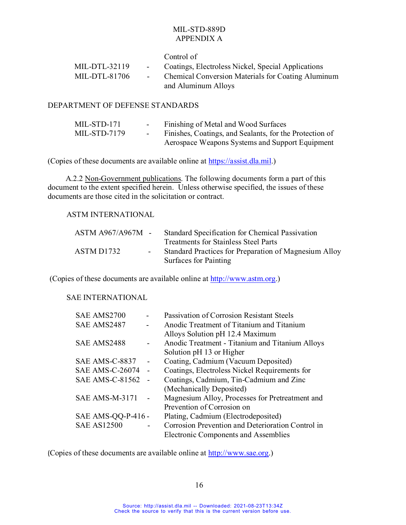|                 |                 | Control of                                                                       |
|-----------------|-----------------|----------------------------------------------------------------------------------|
| $MIL-DTL-32119$ | $\sim 100$      | Coatings, Electroless Nickel, Special Applications                               |
| MIL-DTL-81706   | $\sim$ 10 $\pm$ | <b>Chemical Conversion Materials for Coating Aluminum</b><br>and Aluminum Alloys |

#### DEPARTMENT OF DEFENSE STANDARDS

| MIL-STD-171  | $\sim$ $\sim$    | Finishing of Metal and Wood Surfaces                    |
|--------------|------------------|---------------------------------------------------------|
| MIL-STD-7179 | $\sim$ 100 $\mu$ | Finishes, Coatings, and Sealants, for the Protection of |
|              |                  | Aerospace Weapons Systems and Support Equipment         |

(Copies of these documents are available online at [https://assist.dla.mil.](https://assist.dla.mil/))

A.2.2 Non-Government publications. The following documents form a part of this document to the extent specified herein. Unless otherwise specified, the issues of these documents are those cited in the solicitation or contract.

#### ASTM INTERNATIONAL

| $ASTM A967/A967M -$ | Standard Specification for Chemical Passivation       |
|---------------------|-------------------------------------------------------|
|                     | <b>Treatments for Stainless Steel Parts</b>           |
| ASTM D1732          | Standard Practices for Preparation of Magnesium Alloy |
|                     | Surfaces for Painting                                 |

(Copies of these documents are available online at [http://www.astm.org.](http://www.astm.org/))

# SAE INTERNATIONAL

| SAE AMS2700            | Passivation of Corrosion Resistant Steels         |
|------------------------|---------------------------------------------------|
| SAE AMS2487            | Anodic Treatment of Titanium and Titanium         |
|                        | Alloys Solution pH 12.4 Maximum                   |
| SAE AMS2488            | Anodic Treatment - Titanium and Titanium Alloys   |
|                        | Solution pH 13 or Higher                          |
| SAE AMS-C-8837         | Coating, Cadmium (Vacuum Deposited)               |
| <b>SAE AMS-C-26074</b> | Coatings, Electroless Nickel Requirements for     |
| <b>SAE AMS-C-81562</b> | Coatings, Cadmium, Tin-Cadmium and Zinc           |
|                        | (Mechanically Deposited)                          |
| <b>SAE AMS-M-3171</b>  | Magnesium Alloy, Processes for Pretreatment and   |
|                        | Prevention of Corrosion on                        |
| SAE AMS-QQ-P-416 -     | Plating, Cadmium (Electrodeposited)               |
| <b>SAE AS12500</b>     | Corrosion Prevention and Deterioration Control in |
|                        | <b>Electronic Components and Assemblies</b>       |

(Copies of these documents are available online at [http://www.sae.org.](http://www.sae.org/))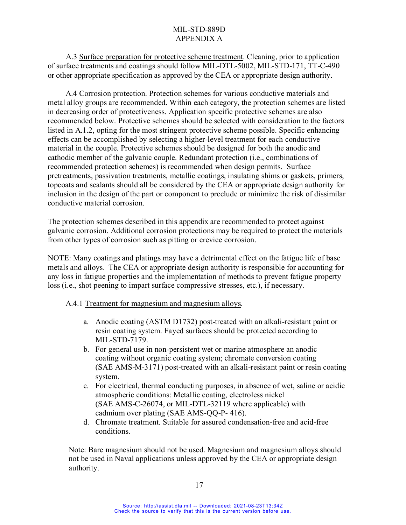A.3 Surface preparation for protective scheme treatment. Cleaning, prior to application of surface treatments and coatings should follow MIL-DTL-5002, MIL-STD-171, TT-C-490 or other appropriate specification as approved by the CEA or appropriate design authority.

A.4 Corrosion protection. Protection schemes for various conductive materials and metal alloy groups are recommended. Within each category, the protection schemes are listed in decreasing order of protectiveness. Application specific protective schemes are also recommended below. Protective schemes should be selected with consideration to the factors listed in A.1.2, opting for the most stringent protective scheme possible. Specific enhancing effects can be accomplished by selecting a higher-level treatment for each conductive material in the couple. Protective schemes should be designed for both the anodic and cathodic member of the galvanic couple. Redundant protection (i.e., combinations of recommended protection schemes) is recommended when design permits. Surface pretreatments, passivation treatments, metallic coatings, insulating shims or gaskets, primers, topcoats and sealants should all be considered by the CEA or appropriate design authority for inclusion in the design of the part or component to preclude or minimize the risk of dissimilar conductive material corrosion.

The protection schemes described in this appendix are recommended to protect against galvanic corrosion. Additional corrosion protections may be required to protect the materials from other types of corrosion such as pitting or crevice corrosion.

NOTE: Many coatings and platings may have a detrimental effect on the fatigue life of base metals and alloys. The CEA or appropriate design authority is responsible for accounting for any loss in fatigue properties and the implementation of methods to prevent fatigue property loss (i.e., shot peening to impart surface compressive stresses, etc.), if necessary.

## A.4.1 Treatment for magnesium and magnesium alloys.

- a. Anodic coating (ASTM D1732) post-treated with an alkali-resistant paint or resin coating system. Fayed surfaces should be protected according to MIL-STD-7179.
- b. For general use in non-persistent wet or marine atmosphere an anodic coating without organic coating system; chromate conversion coating (SAE AMS-M-3171) post-treated with an alkali-resistant paint or resin coating system.
- c. For electrical, thermal conducting purposes, in absence of wet, saline or acidic atmospheric conditions: Metallic coating, electroless nickel (SAE AMS-C-26074, or MIL-DTL-32119 where applicable) with cadmium over plating (SAE AMS-QQ-P- 416).
- d. Chromate treatment. Suitable for assured condensation-free and acid-free conditions.

Note: Bare magnesium should not be used. Magnesium and magnesium alloys should not be used in Naval applications unless approved by the CEA or appropriate design authority.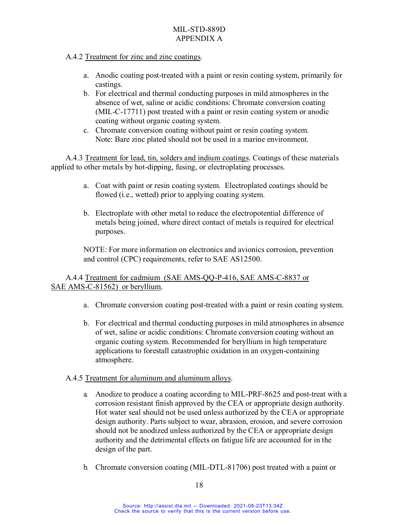## A.4.2 Treatment for zinc and zinc coatings.

- a. Anodic coating post-treated with a paint or resin coating system, primarily for castings.
- b. For electrical and thermal conducting purposes in mild atmospheres in the absence of wet, saline or acidic conditions: Chromate conversion coating (MIL-C-17711) post treated with a paint or resin coating system or anodic coating without organic coating system.
- c. Chromate conversion coating without paint or resin coating system. Note: Bare zinc plated should not be used in a marine environment.

A.4.3 Treatment for lead, tin, solders and indium coatings. Coatings of these materials applied to other metals by hot-dipping, fusing, or electroplating processes.

- a. Coat with paint or resin coating system. Electroplated coatings should be flowed (i.e., wetted) prior to applying coating system.
- b. Electroplate with other metal to reduce the electropotential difference of metals being joined, where direct contact of metals is required for electrical purposes.

NOTE: For more information on electronics and avionics corrosion, prevention and control (CPC) requirements, refer to SAE AS12500.

## A.4.4 Treatment for cadmium (SAE AMS-QQ-P-416, SAE AMS-C-8837 or SAE AMS-C-81562) or beryllium.

- a. Chromate conversion coating post-treated with a paint or resin coating system.
- b. For electrical and thermal conducting purposes in mild atmospheres in absence of wet, saline or acidic conditions: Chromate conversion coating without an organic coating system. Recommended for beryllium in high temperature applications to forestall catastrophic oxidation in an oxygen-containing atmosphere.

## A.4.5 Treatment for aluminum and aluminum alloys.

- a. Anodize to produce a coating according to MIL-PRF-8625 and post-treat with a corrosion resistant finish approved by the CEA or appropriate design authority. Hot water seal should not be used unless authorized by the CEA or appropriate design authority. Parts subject to wear, abrasion, erosion, and severe corrosion should not be anodized unless authorized by the CEA or appropriate design authority and the detrimental effects on fatigue life are accounted for in the design of the part.
- b. Chromate conversion coating (MIL-DTL-81706) post treated with a paint or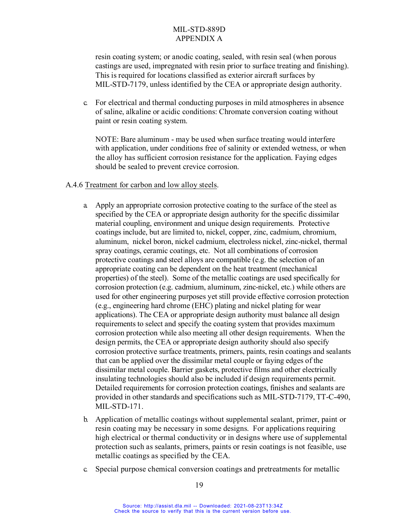resin coating system; or anodic coating, sealed, with resin seal (when porous castings are used, impregnated with resin prior to surface treating and finishing). This is required for locations classified as exterior aircraft surfaces by MIL-STD-7179, unless identified by the CEA or appropriate design authority.

c. For electrical and thermal conducting purposes in mild atmospheres in absence of saline, alkaline or acidic conditions: Chromate conversion coating without paint or resin coating system.

NOTE: Bare aluminum - may be used when surface treating would interfere with application, under conditions free of salinity or extended wetness, or when the alloy has sufficient corrosion resistance for the application. Faying edges should be sealed to prevent crevice corrosion.

## A.4.6 Treatment for carbon and low alloy steels.

- a. Apply an appropriate corrosion protective coating to the surface of the steel as specified by the CEA or appropriate design authority for the specific dissimilar material coupling, environment and unique design requirements. Protective coatings include, but are limited to, nickel, copper, zinc, cadmium, chromium, aluminum, nickel boron, nickel cadmium, electroless nickel, zinc-nickel, thermal spray coatings, ceramic coatings, etc. Not all combinations of corrosion protective coatings and steel alloys are compatible (e.g. the selection of an appropriate coating can be dependent on the heat treatment (mechanical properties) of the steel). Some of the metallic coatings are used specifically for corrosion protection (e.g. cadmium, aluminum, zinc-nickel, etc.) while others are used for other engineering purposes yet still provide effective corrosion protection (e.g., engineering hard chrome (EHC) plating and nickel plating for wear applications). The CEA or appropriate design authority must balance all design requirements to select and specify the coating system that provides maximum corrosion protection while also meeting all other design requirements. When the design permits, the CEA or appropriate design authority should also specify corrosion protective surface treatments, primers, paints, resin coatings and sealants that can be applied over the dissimilar metal couple or faying edges of the dissimilar metal couple. Barrier gaskets, protective films and other electrically insulating technologies should also be included if design requirements permit. Detailed requirements for corrosion protection coatings, finishes and sealants are provided in other standards and specifications such as MIL-STD-7179, TT-C-490, MIL-STD-171.
- b. Application of metallic coatings without supplemental sealant, primer, paint or resin coating may be necessary in some designs. For applications requiring high electrical or thermal conductivity or in designs where use of supplemental protection such as sealants, primers, paints or resin coatings is not feasible, use metallic coatings as specified by the CEA.
- c. Special purpose chemical conversion coatings and pretreatments for metallic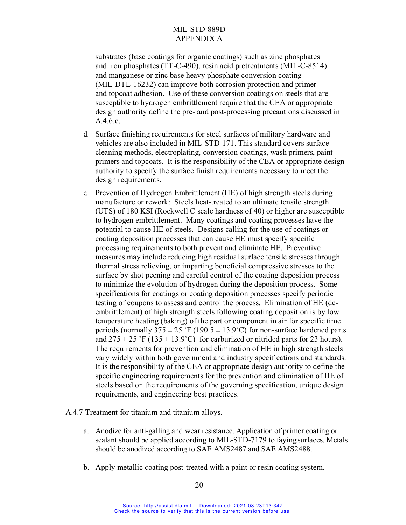substrates (base coatings for organic coatings) such as zinc phosphates and iron phosphates (TT-C-490), resin acid pretreatments (MIL-C-8514) and manganese or zinc base heavy phosphate conversion coating (MIL-DTL-16232) can improve both corrosion protection and primer and topcoat adhesion. Use of these conversion coatings on steels that are susceptible to hydrogen embrittlement require that the CEA or appropriate design authority define the pre- and post-processing precautions discussed in A.4.6.e.

- d. Surface finishing requirements for steel surfaces of military hardware and vehicles are also included in MIL-STD-171. This standard covers surface cleaning methods, electroplating, conversion coatings, wash primers, paint primers and topcoats. It is the responsibility of the CEA or appropriate design authority to specify the surface finish requirements necessary to meet the design requirements.
- e. Prevention of Hydrogen Embrittlement (HE) of high strength steels during manufacture or rework: Steels heat-treated to an ultimate tensile strength (UTS) of 180 KSI (Rockwell C scale hardness of 40) or higher are susceptible to hydrogen embrittlement. Many coatings and coating processes have the potential to cause HE of steels. Designs calling for the use of coatings or coating deposition processes that can cause HE must specify specific processing requirements to both prevent and eliminate HE. Preventive measures may include reducing high residual surface tensile stresses through thermal stress relieving, or imparting beneficial compressive stresses to the surface by shot peening and careful control of the coating deposition process to minimize the evolution of hydrogen during the deposition process. Some specifications for coatings or coating deposition processes specify periodic testing of coupons to assess and control the process. Elimination of HE (deembrittlement) of high strength steels following coating deposition is by low temperature heating (baking) of the part or component in air for specific time periods (normally 375  $\pm$  25 °F (190.5  $\pm$  13.9°C) for non-surface hardened parts and  $275 \pm 25$  °F (135  $\pm$  13.9°C) for carburized or nitrided parts for 23 hours). The requirements for prevention and elimination of HE in high strength steels vary widely within both government and industry specifications and standards. It is the responsibility of the CEA or appropriate design authority to define the specific engineering requirements for the prevention and elimination of HE of steels based on the requirements of the governing specification, unique design requirements, and engineering best practices.

#### A.4.7 Treatment for titanium and titanium alloys.

- a. Anodize for anti-galling and wear resistance. Application of primer coating or sealant should be applied according to MIL-STD-7179 to fayingsurfaces. Metals should be anodized according to SAE AMS2487 and SAE AMS2488.
- b. Apply metallic coating post-treated with a paint or resin coating system.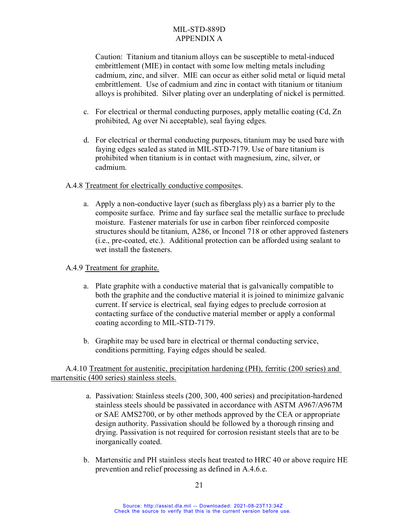Caution: Titanium and titanium alloys can be susceptible to metal-induced embrittlement (MIE) in contact with some low melting metals including cadmium, zinc, and silver. MIE can occur as either solid metal or liquid metal embrittlement. Use of cadmium and zinc in contact with titanium or titanium alloys is prohibited. Silver plating over an underplating of nickel is permitted.

- c. For electrical or thermal conducting purposes, apply metallic coating (Cd, Zn prohibited, Ag over Ni acceptable), seal faying edges.
- d. For electrical or thermal conducting purposes, titanium may be used bare with faying edges sealed as stated in MIL-STD-7179. Use of bare titanium is prohibited when titanium is in contact with magnesium, zinc, silver, or cadmium.

## A.4.8 Treatment for electrically conductive composites.

a. Apply a non-conductive layer (such as fiberglass ply) as a barrier ply to the composite surface. Prime and fay surface seal the metallic surface to preclude moisture. Fastener materials for use in carbon fiber reinforced composite structures should be titanium, A286, or Inconel 718 or other approved fasteners (i.e., pre-coated, etc.). Additional protection can be afforded using sealant to wet install the fasteners.

# A.4.9 Treatment for graphite.

- a. Plate graphite with a conductive material that is galvanically compatible to both the graphite and the conductive material it is joined to minimize galvanic current. If service is electrical, seal faying edges to preclude corrosion at contacting surface of the conductive material member or apply a conformal coating according to MIL-STD-7179.
- b. Graphite may be used bare in electrical or thermal conducting service, conditions permitting. Faying edges should be sealed.

A.4.10 Treatment for austenitic, precipitation hardening (PH), ferritic (200 series) and martensitic (400 series) stainless steels.

- a. Passivation: Stainless steels (200, 300, 400 series) and precipitation-hardened stainless steels should be passivated in accordance with ASTM A967/A967M or SAE AMS2700, or by other methods approved by the CEA or appropriate design authority. Passivation should be followed by a thorough rinsing and drying. Passivation is not required for corrosion resistant steels that are to be inorganically coated.
- b. Martensitic and PH stainless steels heat treated to HRC 40 or above require HE prevention and relief processing as defined in A.4.6.e.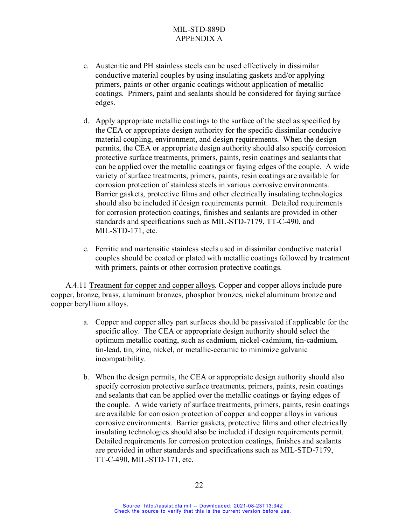- c. Austenitic and PH stainless steels can be used effectively in dissimilar conductive material couples by using insulating gaskets and/or applying primers, paints or other organic coatings without application of metallic coatings. Primers, paint and sealants should be considered for faying surface edges.
- d. Apply appropriate metallic coatings to the surface of the steel as specified by the CEA or appropriate design authority for the specific dissimilar conducive material coupling, environment, and design requirements. When the design permits, the CEA or appropriate design authority should also specify corrosion protective surface treatments, primers, paints, resin coatings and sealants that can be applied over the metallic coatings or faying edges of the couple. A wide variety of surface treatments, primers, paints, resin coatings are available for corrosion protection of stainless steels in various corrosive environments. Barrier gaskets, protective films and other electrically insulating technologies should also be included if design requirements permit. Detailed requirements for corrosion protection coatings, finishes and sealants are provided in other standards and specifications such as MIL-STD-7179, TT-C-490, and MIL-STD-171, etc.
- e. Ferritic and martensitic stainless steels used in dissimilar conductive material couples should be coated or plated with metallic coatings followed by treatment with primers, paints or other corrosion protective coatings.

A.4.11 Treatment for copper and copper alloys. Copper and copper alloys include pure copper, bronze, brass, aluminum bronzes, phosphor bronzes, nickel aluminum bronze and copper beryllium alloys.

- a. Copper and copper alloy part surfaces should be passivated if applicable for the specific alloy. The CEA or appropriate design authority should select the optimum metallic coating, such as cadmium, nickel-cadmium, tin-cadmium, tin-lead, tin, zinc, nickel, or metallic-ceramic to minimize galvanic incompatibility.
- b. When the design permits, the CEA or appropriate design authority should also specify corrosion protective surface treatments, primers, paints, resin coatings and sealants that can be applied over the metallic coatings or faying edges of the couple. A wide variety of surface treatments, primers, paints, resin coatings are available for corrosion protection of copper and copper alloys in various corrosive environments. Barrier gaskets, protective films and other electrically insulating technologies should also be included if design requirements permit. Detailed requirements for corrosion protection coatings, finishes and sealants are provided in other standards and specifications such as MIL-STD-7179, TT-C-490, MIL-STD-171, etc.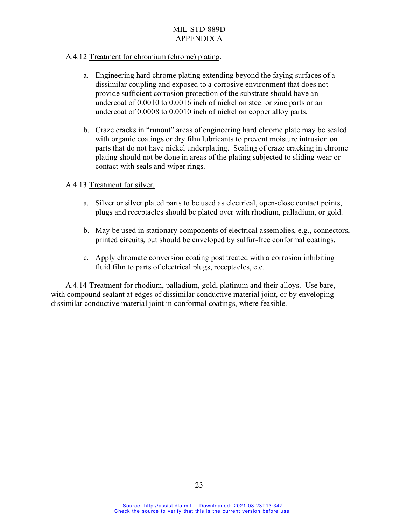## A.4.12 Treatment for chromium (chrome) plating.

- a. Engineering hard chrome plating extending beyond the faying surfaces of a dissimilar coupling and exposed to a corrosive environment that does not provide sufficient corrosion protection of the substrate should have an undercoat of 0.0010 to 0.0016 inch of nickel on steel or zinc parts or an undercoat of 0.0008 to 0.0010 inch of nickel on copper alloy parts.
- b. Craze cracks in "runout" areas of engineering hard chrome plate may be sealed with organic coatings or dry film lubricants to prevent moisture intrusion on parts that do not have nickel underplating. Sealing of craze cracking in chrome plating should not be done in areas of the plating subjected to sliding wear or contact with seals and wiper rings.

## A.4.13 Treatment for silver.

- a. Silver or silver plated parts to be used as electrical, open-close contact points, plugs and receptacles should be plated over with rhodium, palladium, or gold.
- b. May be used in stationary components of electrical assemblies, e.g., connectors, printed circuits, but should be enveloped by sulfur-free conformal coatings.
- c. Apply chromate conversion coating post treated with a corrosion inhibiting fluid film to parts of electrical plugs, receptacles, etc.

A.4.14 Treatment for rhodium, palladium, gold, platinum and their alloys. Use bare, with compound sealant at edges of dissimilar conductive material joint, or by enveloping dissimilar conductive material joint in conformal coatings, where feasible.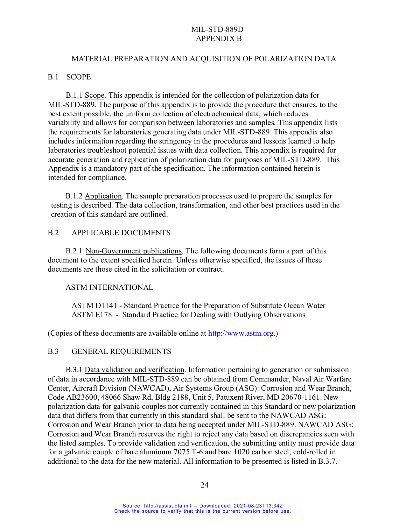#### MATERIAL PREPARATION AND ACQUISITION OF POLARIZATION DATA

#### B.1 SCOPE

B.1.1 Scope. This appendix is intended for the collection of polarization data for MIL-STD-889. The purpose of this appendix is to provide the procedure that ensures, to the best extent possible, the uniform collection of electrochemical data, which reduces variability and allows for comparison between laboratories and samples. This appendix lists the requirements for laboratories generating data under MIL-STD-889. This appendix also includes information regarding the stringency in the procedures and lessons learned to help laboratories troubleshoot potential issues with data collection. This appendix is required for accurate generation and replication of polarization data for purposes of MIL-STD-889. This Appendix is a mandatory part of the specification. The information contained herein is intended for compliance.

B.1.2 Application. The sample preparation processes used to prepare the samples for testing is described. The data collection, transformation, and other best practices used in the creation of this standard are outlined.

#### B.2 APPLICABLE DOCUMENTS

B.2.1 Non-Government publications. The following documents form a part of this document to the extent specified herein. Unless otherwise specified, the issues of these documents are those cited in the solicitation or contract.

#### ASTM INTERNATIONAL

ASTM D1141 - Standard Practice for the Preparation of Substitute Ocean Water ASTM E178 - Standard Practice for Dealing with Outlying Observations

(Copies of these documents are available online at [http://www.astm.org.](http://www.astm.org/))

## B.3 GENERAL REQUIREMENTS

B.3.1 Data validation and verification. Information pertaining to generation or submission of data in accordance with MIL-STD-889 can be obtained from Commander, Naval Air Warfare Center, Aircraft Division (NAWCAD), Air Systems Group (ASG): Corrosion and Wear Branch, Code AB23600, 48066 Shaw Rd, Bldg 2188, Unit 5, Patuxent River, MD 20670-1161. New polarization data for galvanic couples not currently contained in this Standard or new polarization data that differs from that currently in this standard shall be sent to the NAWCAD ASG: Corrosion and Wear Branch prior to data being accepted under MIL-STD-889. NAWCAD ASG: Corrosion and Wear Branch reserves the right to reject any data based on discrepancies seen with the listed samples. To provide validation and verification, the submitting entity must provide data for a galvanic couple of bare aluminum 7075 T-6 and bare 1020 carbon steel, cold-rolled in additional to the data for the new material. All information to be presented is listed in B.3.7.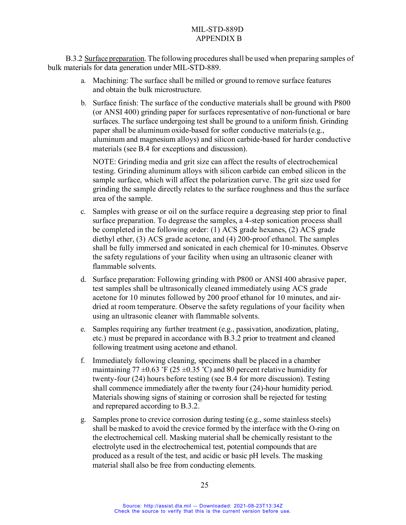B.3.2 Surface preparation. The following proceduresshall be used when preparing samples of bulk materials for data generation under MIL-STD-889.

- a. Machining: The surface shall be milled or ground to remove surface features and obtain the bulk microstructure.
- b. Surface finish: The surface of the conductive materials shall be ground with P800 (or ANSI 400) grinding paper for surfaces representative of non-functional or bare surfaces. The surface undergoing test shall be ground to a uniform finish. Grinding paper shall be aluminum oxide-based for softer conductive materials(e.g., aluminum and magnesium alloys) and silicon carbide-based for harder conductive materials (see B.4 for exceptions and discussion).

NOTE: Grinding media and grit size can affect the results of electrochemical testing. Grinding aluminum alloys with silicon carbide can embed silicon in the sample surface, which will affect the polarization curve. The grit size used for grinding the sample directly relates to the surface roughness and thus the surface area of the sample.

- c. Samples with grease or oil on the surface require a degreasing step prior to final surface preparation. To degrease the samples, a 4-step sonication process shall be completed in the following order: (1) ACS grade hexanes, (2) ACS grade diethyl ether, (3) ACS grade acetone, and (4) 200-proof ethanol. The samples shall be fully immersed and sonicated in each chemical for 10-minutes. Observe the safety regulations of your facility when using an ultrasonic cleaner with flammable solvents.
- d. Surface preparation: Following grinding with P800 or ANSI 400 abrasive paper, test samples shall be ultrasonically cleaned immediately using ACS grade acetone for 10 minutes followed by 200 proof ethanol for 10 minutes, and airdried at room temperature. Observe the safety regulations of your facility when using an ultrasonic cleaner with flammable solvents.
- e. Samples requiring any further treatment (e.g., passivation, anodization, plating, etc.) must be prepared in accordance with B.3.2 prior to treatment and cleaned following treatment using acetone and ethanol.
- f. Immediately following cleaning, specimens shall be placed in a chamber maintaining 77  $\pm$ 0.63 °F (25  $\pm$ 0.35 °C) and 80 percent relative humidity for twenty-four (24) hours before testing (see B.4 for more discussion). Testing shall commence immediately after the twenty four (24)-hour humidity period. Materials showing signs of staining or corrosion shall be rejected for testing and reprepared according to B.3.2.
- g. Samples prone to crevice corrosion during testing (e.g., some stainless steels) shall be masked to avoid the crevice formed by the interface with the O-ring on the electrochemical cell. Masking material shall be chemically resistant to the electrolyte used in the electrochemical test, potential compounds that are produced as a result of the test, and acidic or basic pH levels. The masking material shall also be free from conducting elements.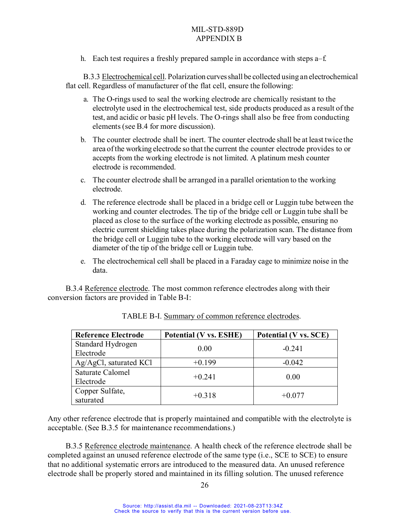h. Each test requires a freshly prepared sample in accordance with steps a–f.

B.3.3 Electrochemical cell. Polarization curvesshall be collected using an electrochemical flat cell. Regardless of manufacturer of the flat cell, ensure the following:

- a. The O-rings used to seal the working electrode are chemically resistant to the electrolyte used in the electrochemical test, side products produced as a result of the test, and acidic or basic pH levels. The O-rings shall also be free from conducting elements(see B.4 for more discussion).
- b. The counter electrode shall be inert. The counter electrode shall be at least twice the area ofthe working electrode so that the current the counter electrode provides to or accepts from the working electrode is not limited. A platinum mesh counter electrode is recommended.
- c. The counter electrode shall be arranged in a parallel orientation to the working electrode.
- d. The reference electrode shall be placed in a bridge cell or Luggin tube between the working and counter electrodes. The tip of the bridge cell or Luggin tube shall be placed as close to the surface of the working electrode as possible, ensuring no electric current shielding takes place during the polarization scan. The distance from the bridge cell or Luggin tube to the working electrode will vary based on the diameter of the tip of the bridge cell or Luggin tube.
- e. The electrochemical cell shall be placed in a Faraday cage to minimize noise in the data.

B.3.4 Reference electrode. The most common reference electrodes along with their conversion factors are provided in Table B-I:

| <b>Reference Electrode</b> | Potential (V vs. ESHE) | Potential (V vs. SCE) |
|----------------------------|------------------------|-----------------------|
| Standard Hydrogen          | 0.00                   | $-0.241$              |
| Electrode                  |                        |                       |
| $Ag/AgCl$ , saturated KCl  | $+0.199$               | $-0.042$              |
| Saturate Calomel           |                        |                       |
| Electrode                  | $+0.241$               | 0.00                  |
| Copper Sulfate,            |                        |                       |
| saturated                  | $+0.318$               | $+0.077$              |

| TABLE B-I. Summary of common reference electrodes. |  |  |
|----------------------------------------------------|--|--|
|                                                    |  |  |

Any other reference electrode that is properly maintained and compatible with the electrolyte is acceptable. (See B.3.5 for maintenance recommendations.)

B.3.5 Reference electrode maintenance. A health check of the reference electrode shall be completed against an unused reference electrode of the same type (i.e., SCE to SCE) to ensure that no additional systematic errors are introduced to the measured data. An unused reference electrode shall be properly stored and maintained in its filling solution. The unused reference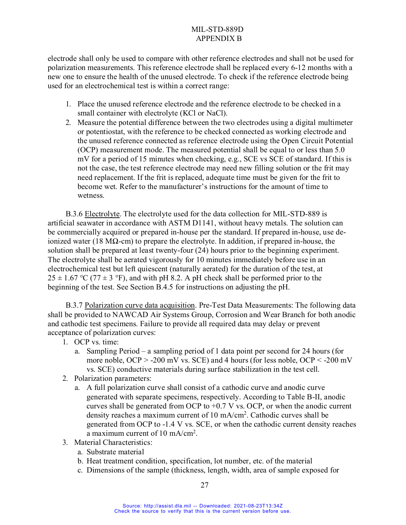electrode shall only be used to compare with other reference electrodes and shall not be used for polarization measurements. This reference electrode shall be replaced every 6-12 months with a new one to ensure the health of the unused electrode. To check if the reference electrode being used for an electrochemical test is within a correct range:

- 1. Place the unused reference electrode and the reference electrode to be checked in a small container with electrolyte (KCl or NaCl).
- 2. Measure the potential difference between the two electrodes using a digital multimeter or potentiostat, with the reference to be checked connected as working electrode and the unused reference connected as reference electrode using the Open Circuit Potential (OCP) measurement mode. The measured potential shall be equal to or less than 5.0 mV for a period of 15 minutes when checking, e.g., SCE vs SCE of standard. If this is not the case, the test reference electrode may need new filling solution or the frit may need replacement. If the frit is replaced, adequate time must be given for the frit to become wet. Refer to the manufacturer's instructions for the amount of time to wetness.

B.3.6 Electrolyte. The electrolyte used for the data collection for MIL-STD-889 is artificial seawater in accordance with ASTM D1141, without heavy metals. The solution can be commercially acquired or prepared in-house per the standard. If prepared in-house, use deionized water (18 MΩ-cm) to prepare the electrolyte. In addition, if prepared in-house, the solution shall be prepared at least twenty-four (24) hours prior to the beginning experiment. The electrolyte shall be aerated vigorously for 10 minutes immediately before use in an electrochemical test but left quiescent (naturally aerated) for the duration of the test, at  $25 \pm 1.67$  °C (77  $\pm$  3 °F), and with pH 8.2. A pH check shall be performed prior to the beginning of the test. See Section B.4.5 for instructions on adjusting the pH.

B.3.7 Polarization curve data acquisition. Pre-Test Data Measurements: The following data shall be provided to NAWCAD Air Systems Group, Corrosion and Wear Branch for both anodic and cathodic test specimens. Failure to provide all required data may delay or prevent acceptance of polarization curves:

- 1. OCP vs. time:
	- a. Sampling Period a sampling period of 1 data point per second for 24 hours (for more noble,  $OCP > -200$  mV vs. SCE) and 4 hours (for less noble,  $OCP < -200$  mV vs. SCE) conductive materials during surface stabilization in the test cell.
- 2. Polarization parameters:
	- a. A full polarization curve shall consist of a cathodic curve and anodic curve generated with separate specimens, respectively. According to Table B-II, anodic curves shall be generated from OCP to  $+0.7$  V vs. OCP, or when the anodic current density reaches a maximum current of 10 mA/cm2. Cathodic curves shall be generated from OCP to -1.4 V vs. SCE, or when the cathodic current density reaches a maximum current of  $10 \text{ mA/cm}^2$ .
- 3. Material Characteristics:
	- a. Substrate material
	- b. Heat treatment condition, specification, lot number, etc. of the material
	- c. Dimensions of the sample (thickness, length, width, area of sample exposed for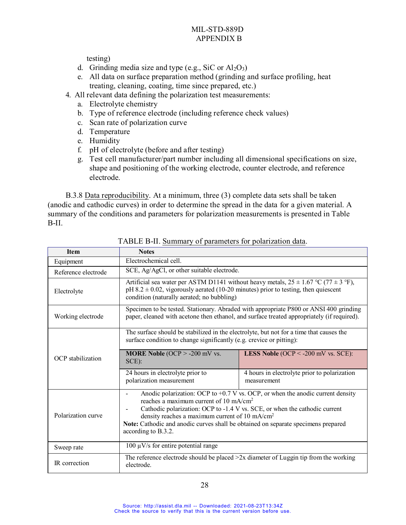testing)

- d. Grinding media size and type (e.g., SiC or  $Al_2O_3$ )
- e. All data on surface preparation method (grinding and surface profiling, heat treating, cleaning, coating, time since prepared, etc.)
- 4. All relevant data defining the polarization test measurements:
	- a. Electrolyte chemistry
	- b. Type of reference electrode (including reference check values)
	- c. Scan rate of polarization curve
	- d. Temperature
	- e. Humidity
	- f. pH of electrolyte (before and after testing)
	- g. Test cell manufacturer/part number including all dimensional specifications on size, shape and positioning of the working electrode, counter electrode, and reference electrode.

B.3.8 Data reproducibility. At a minimum, three (3) complete data sets shall be taken (anodic and cathodic curves) in order to determine the spread in the data for a given material. A summary of the conditions and parameters for polarization measurements is presented in Table B-II.

| Item                | <b>Notes</b>                                                                                                                                                                                                                 |                                                                                                                                                                                     |
|---------------------|------------------------------------------------------------------------------------------------------------------------------------------------------------------------------------------------------------------------------|-------------------------------------------------------------------------------------------------------------------------------------------------------------------------------------|
| Equipment           | Electrochemical cell.                                                                                                                                                                                                        |                                                                                                                                                                                     |
| Reference electrode | SCE, Ag/AgCl, or other suitable electrode.                                                                                                                                                                                   |                                                                                                                                                                                     |
| Electrolyte         | $pH 8.2 \pm 0.02$ , vigorously aerated (10-20 minutes) prior to testing, then quiescent<br>condition (naturally aerated; no bubbling)                                                                                        | Artificial sea water per ASTM D1141 without heavy metals, $25 \pm 1.67$ °C (77 $\pm$ 3 °F),                                                                                         |
| Working electrode   |                                                                                                                                                                                                                              | Specimen to be tested. Stationary. Abraded with appropriate P800 or ANSI 400 grinding<br>paper, cleaned with acetone then ethanol, and surface treated appropriately (if required). |
|                     | The surface should be stabilized in the electrolyte, but not for a time that causes the<br>surface condition to change significantly (e.g. crevice or pitting):                                                              |                                                                                                                                                                                     |
| OCP stabilization   | <b>MORE Noble (OCP &gt; -200 mV vs.</b><br>$SCE$ :                                                                                                                                                                           | <b>LESS Noble (OCP &lt; -200 mV vs. SCE):</b>                                                                                                                                       |
|                     | 24 hours in electrolyte prior to<br>polarization measurement                                                                                                                                                                 | 4 hours in electrolyte prior to polarization<br>measurement                                                                                                                         |
| Polarization curve  | reaches a maximum current of 10 mA/cm <sup>2</sup><br>density reaches a maximum current of 10 mA/cm <sup>2</sup><br>Note: Cathodic and anodic curves shall be obtained on separate specimens prepared<br>according to B.3.2. | Anodic polarization: OCP to $+0.7$ V vs. OCP, or when the anodic current density<br>Cathodic polarization: OCP to -1.4 V vs. SCE, or when the cathodic current                      |
| Sweep rate          | 100 $\mu$ V/s for entire potential range                                                                                                                                                                                     |                                                                                                                                                                                     |
| IR correction       | electrode.                                                                                                                                                                                                                   | The reference electrode should be placed $>2x$ diameter of Luggin tip from the working                                                                                              |

TABLE B-II. Summary of parameters for polarization data.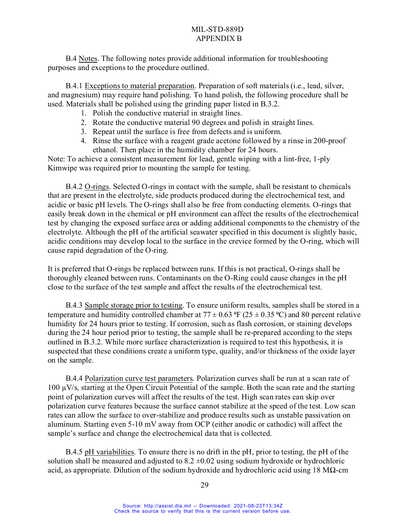B.4 Notes. The following notes provide additional information for troubleshooting purposes and exceptions to the procedure outlined.

B.4.1 Exceptions to material preparation. Preparation of soft materials (i.e., lead, silver, and magnesium) may require hand polishing. To hand polish, the following procedure shall be used. Materials shall be polished using the grinding paper listed in B.3.2.

- 1. Polish the conductive material in straight lines.
- 2. Rotate the conductive material 90 degrees and polish in straight lines.
- 3. Repeat until the surface is free from defects and is uniform.
- 4. Rinse the surface with a reagent grade acetone followed by a rinse in 200-proof ethanol. Then place in the humidity chamber for 24 hours.

Note: To achieve a consistent measurement for lead, gentle wiping with a lint-free, 1-ply Kimwipe was required prior to mounting the sample for testing.

B.4.2 O-rings. Selected O-rings in contact with the sample, shall be resistant to chemicals that are present in the electrolyte, side products produced during the electrochemical test, and acidic or basic pH levels. The O-rings shall also be free from conducting elements. O-rings that easily break down in the chemical or pH environment can affect the results of the electrochemical test by changing the exposed surface area or adding additional components to the chemistry of the electrolyte. Although the pH of the artificial seawater specified in this document is slightly basic, acidic conditions may develop local to the surface in the crevice formed by the O-ring, which will cause rapid degradation of the O-ring.

It is preferred that O-rings be replaced between runs. If this is not practical, O-rings shall be thoroughly cleaned between runs. Contaminants on the O-Ring could cause changes in the pH close to the surface of the test sample and affect the results of the electrochemical test.

B.4.3 Sample storage prior to testing. To ensure uniform results, samples shall be stored in a temperature and humidity controlled chamber at  $77 \pm 0.63$  °F (25  $\pm$  0.35 °C) and 80 percent relative humidity for 24 hours prior to testing. If corrosion, such as flash corrosion, or staining develops during the 24 hour period prior to testing, the sample shall be re-prepared according to the steps outlined in B.3.2. While more surface characterization is required to test this hypothesis, it is suspected that these conditions create a uniform type, quality, and/or thickness of the oxide layer on the sample.

B.4.4 Polarization curve test parameters. Polarization curves shall be run at a scan rate of  $100 \mu\text{V/s}$ , starting at the Open Circuit Potential of the sample. Both the scan rate and the starting point of polarization curves will affect the results of the test. High scan rates can skip over polarization curve features because the surface cannot stabilize at the speed of the test. Low scan rates can allow the surface to over-stabilize and produce results such as unstable passivation on aluminum. Starting even 5-10 mV away from OCP (either anodic or cathodic) will affect the sample's surface and change the electrochemical data that is collected.

B.4.5 pH variabilities. To ensure there is no drift in the pH, prior to testing, the pH of the solution shall be measured and adjusted to  $8.2 \pm 0.02$  using sodium hydroxide or hydrochloric acid, as appropriate. Dilution of the sodium hydroxide and hydrochloric acid using  $18 \text{ M}\Omega$ -cm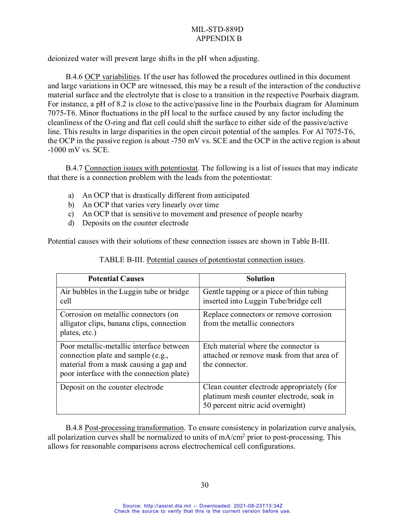deionized water will prevent large shifts in the pH when adjusting.

B.4.6 OCP variabilities. If the user has followed the procedures outlined in this document and large variations in OCP are witnessed, this may be a result of the interaction of the conductive material surface and the electrolyte that is close to a transition in the respective Pourbaix diagram. For instance, a pH of 8.2 is close to the active/passive line in the Pourbaix diagram for Aluminum 7075-T6. Minor fluctuations in the pH local to the surface caused by any factor including the cleanliness of the O-ring and flat cell could shift the surface to either side of the passive/active line. This results in large disparities in the open circuit potential of the samples. For Al 7075-T6, the OCP in the passive region is about -750 mV vs. SCE and the OCP in the active region is about -1000 mV vs. SCE.

B.4.7 Connection issues with potentiostat. The following is a list of issues that may indicate that there is a connection problem with the leads from the potentiostat:

- a) An OCP that is drastically different from anticipated
- b) An OCP that varies very linearly over time
- c) An OCP that is sensitive to movement and presence of people nearby
- d) Deposits on the counter electrode

Potential causes with their solutions of these connection issues are shown in Table B-III.

| <b>Potential Causes</b>                                                                                                                                               | <b>Solution</b>                                                                                                             |
|-----------------------------------------------------------------------------------------------------------------------------------------------------------------------|-----------------------------------------------------------------------------------------------------------------------------|
| Air bubbles in the Luggin tube or bridge<br>cell                                                                                                                      | Gentle tapping or a piece of thin tubing<br>inserted into Luggin Tube/bridge cell                                           |
| Corrosion on metallic connectors (on<br>alligator clips, banana clips, connection<br>plates, etc.)                                                                    | Replace connectors or remove corrosion<br>from the metallic connectors                                                      |
| Poor metallic-metallic interface between<br>connection plate and sample (e.g.,<br>material from a mask causing a gap and<br>poor interface with the connection plate) | Etch material where the connector is<br>attached or remove mask from that area of<br>the connector.                         |
| Deposit on the counter electrode                                                                                                                                      | Clean counter electrode appropriately (for<br>platinum mesh counter electrode, soak in<br>50 percent nitric acid overnight) |

TABLE B-III. Potential causes of potentiostat connection issues.

B.4.8 Post-processing transformation. To ensure consistency in polarization curve analysis, all polarization curves shall be normalized to units of  $mA/cm<sup>2</sup>$  prior to post-processing. This allows for reasonable comparisons across electrochemical cell configurations.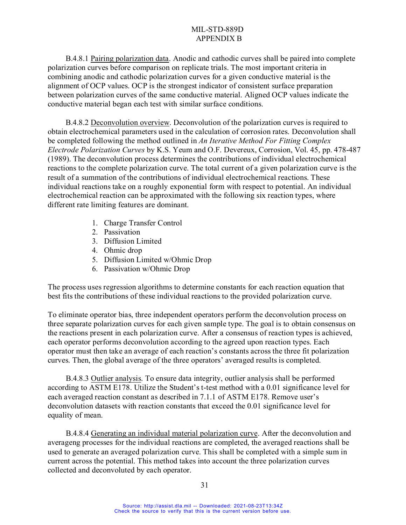B.4.8.1 Pairing polarization data. Anodic and cathodic curves shall be paired into complete polarization curves before comparison on replicate trials. The most important criteria in combining anodic and cathodic polarization curves for a given conductive material is the alignment of OCP values. OCP is the strongest indicator of consistent surface preparation between polarization curves of the same conductive material. Aligned OCP values indicate the conductive material began each test with similar surface conditions.

B.4.8.2 Deconvolution overview. Deconvolution of the polarization curves is required to obtain electrochemical parameters used in the calculation of corrosion rates. Deconvolution shall be completed following the method outlined in *An Iterative Method For Fitting Complex Electrode Polarization Curves* by K.S. Yeum and O.F. Devereux, Corrosion, Vol. 45, pp. 478-487 (1989). The deconvolution process determines the contributions of individual electrochemical reactions to the complete polarization curve. The total current of a given polarization curve is the result of a summation of the contributions of individual electrochemical reactions. These individual reactions take on a roughly exponential form with respect to potential. An individual electrochemical reaction can be approximated with the following six reaction types, where different rate limiting features are dominant.

- 1. Charge Transfer Control
- 2. Passivation
- 3. Diffusion Limited
- 4. Ohmic drop
- 5. Diffusion Limited w/Ohmic Drop
- 6. Passivation w/Ohmic Drop

The process uses regression algorithms to determine constants for each reaction equation that best fits the contributions of these individual reactions to the provided polarization curve.

To eliminate operator bias, three independent operators perform the deconvolution process on three separate polarization curves for each given sample type. The goal is to obtain consensus on the reactions present in each polarization curve. After a consensus of reaction types is achieved, each operator performs deconvolution according to the agreed upon reaction types. Each operator must then take an average of each reaction's constants across the three fit polarization curves. Then, the global average of the three operators' averaged results is completed.

B.4.8.3 Outlier analysis. To ensure data integrity, outlier analysis shall be performed according to ASTM E178. Utilize the Student's t-test method with a 0.01 significance level for each averaged reaction constant as described in 7.1.1 of ASTM E178. Remove user's deconvolution datasets with reaction constants that exceed the 0.01 significance level for equality of mean.

B.4.8.4 Generating an individual material polarization curve. After the deconvolution and averageng processes for the individual reactions are completed, the averaged reactions shall be used to generate an averaged polarization curve. This shall be completed with a simple sum in current across the potential. This method takes into account the three polarization curves collected and deconvoluted by each operator.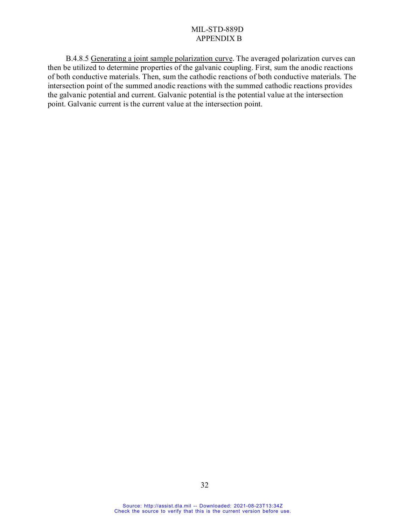B.4.8.5 Generating a joint sample polarization curve. The averaged polarization curves can then be utilized to determine properties of the galvanic coupling. First, sum the anodic reactions of both conductive materials. Then, sum the cathodic reactions of both conductive materials. The intersection point of the summed anodic reactions with the summed cathodic reactions provides the galvanic potential and current. Galvanic potential is the potential value at the intersection point. Galvanic current is the current value at the intersection point.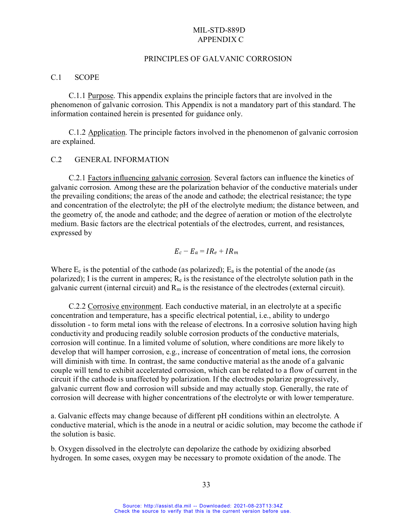#### PRINCIPLES OF GALVANIC CORROSION

#### C.1 SCOPE

C.1.1 Purpose. This appendix explains the principle factors that are involved in the phenomenon of galvanic corrosion. This Appendix is not a mandatory part of this standard. The information contained herein is presented for guidance only.

C.1.2 Application. The principle factors involved in the phenomenon of galvanic corrosion are explained.

#### C.2 GENERAL INFORMATION

C.2.1 Factors influencing galvanic corrosion. Several factors can influence the kinetics of galvanic corrosion. Among these are the polarization behavior of the conductive materials under the prevailing conditions; the areas of the anode and cathode; the electrical resistance; the type and concentration of the electrolyte; the pH of the electrolyte medium; the distance between, and the geometry of, the anode and cathode; and the degree of aeration or motion of the electrolyte medium. Basic factors are the electrical potentials of the electrodes, current, and resistances, expressed by

$$
E_c-E_a=IR_e+IR_m
$$

Where  $E_c$  is the potential of the cathode (as polarized);  $E_a$  is the potential of the anode (as polarized); I is the current in amperes;  $R_e$  is the resistance of the electrolyte solution path in the galvanic current (internal circuit) and  $R_m$  is the resistance of the electrodes (external circuit).

C.2.2 Corrosive environment. Each conductive material, in an electrolyte at a specific concentration and temperature, has a specific electrical potential, i.e., ability to undergo dissolution - to form metal ions with the release of electrons. In a corrosive solution having high conductivity and producing readily soluble corrosion products of the conductive materials, corrosion will continue. In a limited volume of solution, where conditions are more likely to develop that will hamper corrosion, e.g., increase of concentration of metal ions, the corrosion will diminish with time. In contrast, the same conductive material as the anode of a galvanic couple will tend to exhibit accelerated corrosion, which can be related to a flow of current in the circuit if the cathode is unaffected by polarization. If the electrodes polarize progressively, galvanic current flow and corrosion will subside and may actually stop. Generally, the rate of corrosion will decrease with higher concentrations of the electrolyte or with lower temperature.

a. Galvanic effects may change because of different pH conditions within an electrolyte. A conductive material, which is the anode in a neutral or acidic solution, may become the cathode if the solution is basic.

b. Oxygen dissolved in the electrolyte can depolarize the cathode by oxidizing absorbed hydrogen. In some cases, oxygen may be necessary to promote oxidation of the anode. The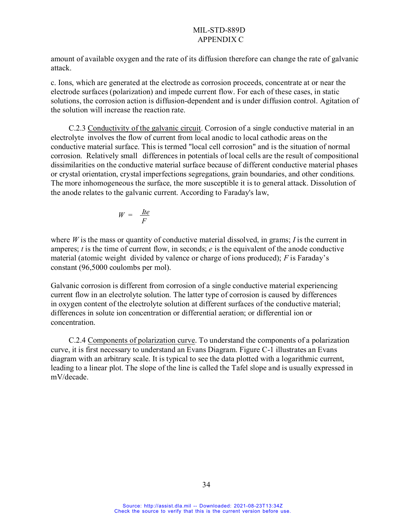amount of available oxygen and the rate of its diffusion therefore can change the rate of galvanic attack.

c. Ions, which are generated at the electrode as corrosion proceeds, concentrate at or near the electrode surfaces (polarization) and impede current flow. For each of these cases, in static solutions, the corrosion action is diffusion-dependent and is under diffusion control. Agitation of the solution will increase the reaction rate.

C.2.3 Conductivity of the galvanic circuit. Corrosion of a single conductive material in an electrolyte involves the flow of current from local anodic to local cathodic areas on the conductive material surface. This is termed "local cell corrosion" and is the situation of normal corrosion. Relatively small differences in potentials of local cells are the result of compositional dissimilarities on the conductive material surface because of different conductive material phases or crystal orientation, crystal imperfections segregations, grain boundaries, and other conditions. The more inhomogeneous the surface, the more susceptible it is to general attack. Dissolution of the anode relates to the galvanic current. According to Faraday's law,

$$
W = \frac{Ite}{F}
$$

where *W* is the mass or quantity of conductive material dissolved, in grams; *I* is the current in amperes; *t* is the time of current flow, in seconds; *e* is the equivalent of the anode conductive material (atomic weight divided by valence or charge of ions produced); *F* is Faraday's constant (96,5000 coulombs per mol).

Galvanic corrosion is different from corrosion of a single conductive material experiencing current flow in an electrolyte solution. The latter type of corrosion is caused by differences in oxygen content of the electrolyte solution at different surfaces of the conductive material; differences in solute ion concentration or differential aeration; or differential ion or concentration.

C.2.4 Components of polarization curve. To understand the components of a polarization curve, it is first necessary to understand an Evans Diagram. Figure C-1 illustrates an Evans diagram with an arbitrary scale. It is typical to see the data plotted with a logarithmic current, leading to a linear plot. The slope of the line is called the Tafel slope and is usually expressed in mV/decade.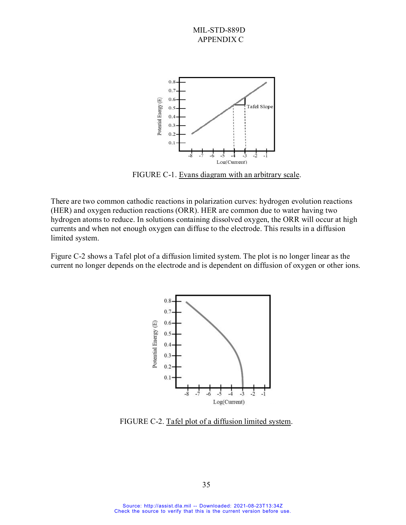

FIGURE C-1. Evans diagram with an arbitrary scale.

There are two common cathodic reactions in polarization curves: hydrogen evolution reactions (HER) and oxygen reduction reactions (ORR). HER are common due to water having two hydrogen atoms to reduce. In solutions containing dissolved oxygen, the ORR will occur at high currents and when not enough oxygen can diffuse to the electrode. This results in a diffusion limited system.

Figure C-2 shows a Tafel plot of a diffusion limited system. The plot is no longer linear as the current no longer depends on the electrode and is dependent on diffusion of oxygen or other ions.



FIGURE C-2. Tafel plot of a diffusion limited system.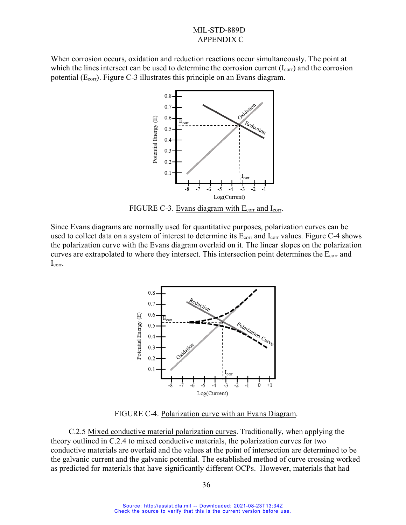When corrosion occurs, oxidation and reduction reactions occur simultaneously. The point at which the lines intersect can be used to determine the corrosion current  $(I_{\text{corr}})$  and the corrosion potential (Ecorr). Figure C-3 illustrates this principle on an Evans diagram.



FIGURE C-3. Evans diagram with  $E_{corr}$  and  $I_{corr}$ .

Since Evans diagrams are normally used for quantitative purposes, polarization curves can be used to collect data on a system of interest to determine its  $E_{corr}$  and  $I_{corr}$  values. Figure C-4 shows the polarization curve with the Evans diagram overlaid on it. The linear slopes on the polarization curves are extrapolated to where they intersect. This intersection point determines the  $E_{\text{corr}}$  and Icorr.



FIGURE C-4. Polarization curve with an Evans Diagram.

C.2.5 Mixed conductive material polarization curves. Traditionally, when applying the theory outlined in C.2.4 to mixed conductive materials, the polarization curves for two conductive materials are overlaid and the values at the point of intersection are determined to be the galvanic current and the galvanic potential. The established method of curve crossing worked as predicted for materials that have significantly different OCPs. However, materials that had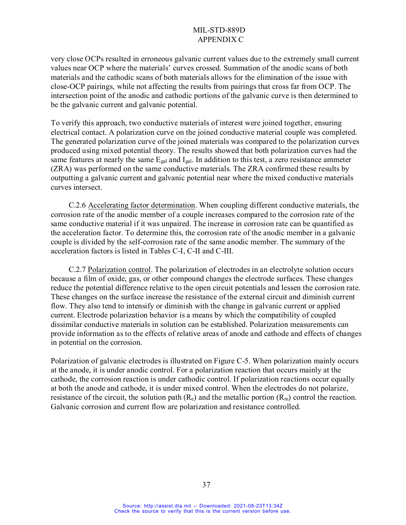very close OCPs resulted in erroneous galvanic current values due to the extremely small current values near OCP where the materials' curves crossed. Summation of the anodic scans of both materials and the cathodic scans of both materials allows for the elimination of the issue with close-OCP pairings, while not affecting the results from pairings that cross far from OCP. The intersection point of the anodic and cathodic portions of the galvanic curve is then determined to be the galvanic current and galvanic potential.

To verify this approach, two conductive materials of interest were joined together, ensuring electrical contact. A polarization curve on the joined conductive material couple was completed. The generated polarization curve of the joined materials was compared to the polarization curves produced using mixed potential theory. The results showed that both polarization curves had the same features at nearly the same  $E_{gal}$  and  $I_{gal}$ . In addition to this test, a zero resistance ammeter (ZRA) was performed on the same conductive materials. The ZRA confirmed these results by outputting a galvanic current and galvanic potential near where the mixed conductive materials curves intersect.

C.2.6 Accelerating factor determination. When coupling different conductive materials, the corrosion rate of the anodic member of a couple increases compared to the corrosion rate of the same conductive material if it was unpaired. The increase in corrosion rate can be quantified as the acceleration factor. To determine this, the corrosion rate of the anodic member in a galvanic couple is divided by the self-corrosion rate of the same anodic member. The summary of the acceleration factors is listed in Tables C-I, C-II and C-III.

C.2.7 Polarization control. The polarization of electrodes in an electrolyte solution occurs because a film of oxide, gas, or other compound changes the electrode surfaces. These changes reduce the potential difference relative to the open circuit potentials and lessen the corrosion rate. These changes on the surface increase the resistance of the external circuit and diminish current flow. They also tend to intensify or diminish with the change in galvanic current or applied current. Electrode polarization behavior is a means by which the compatibility of coupled dissimilar conductive materials in solution can be established. Polarization measurements can provide information as to the effects of relative areas of anode and cathode and effects of changes in potential on the corrosion.

Polarization of galvanic electrodes is illustrated on Figure C-5. When polarization mainly occurs at the anode, it is under anodic control. For a polarization reaction that occurs mainly at the cathode, the corrosion reaction is under cathodic control. If polarization reactions occur equally at both the anode and cathode, it is under mixed control. When the electrodes do not polarize, resistance of the circuit, the solution path  $(R_e)$  and the metallic portion  $(R_m)$  control the reaction. Galvanic corrosion and current flow are polarization and resistance controlled.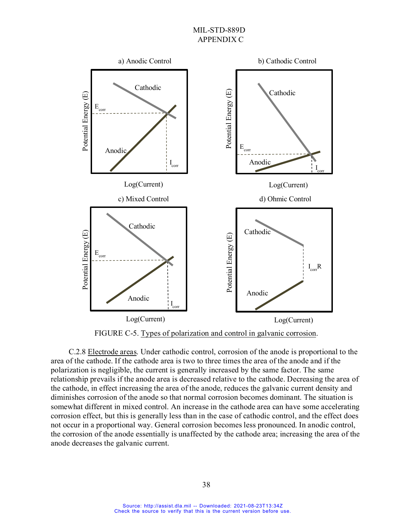

FIGURE C-5. Types of polarization and control in galvanic corrosion.

C.2.8 Electrode areas. Under cathodic control, corrosion of the anode is proportional to the area of the cathode. If the cathode area is two to three times the area of the anode and if the polarization is negligible, the current is generally increased by the same factor. The same relationship prevails if the anode area is decreased relative to the cathode. Decreasing the area of the cathode, in effect increasing the area of the anode, reduces the galvanic current density and diminishes corrosion of the anode so that normal corrosion becomes dominant. The situation is somewhat different in mixed control. An increase in the cathode area can have some accelerating corrosion effect, but this is generally less than in the case of cathodic control, and the effect does not occur in a proportional way. General corrosion becomes less pronounced. In anodic control, the corrosion of the anode essentially is unaffected by the cathode area; increasing the area of the anode decreases the galvanic current.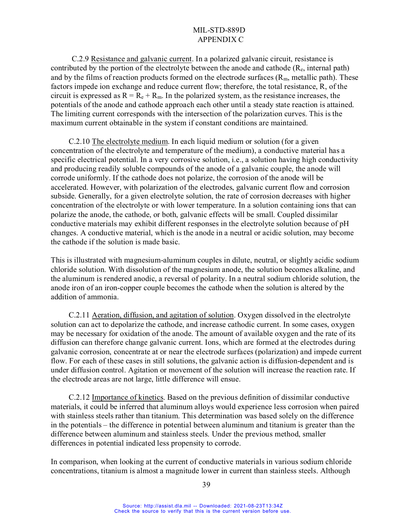C.2.9 Resistance and galvanic current. In a polarized galvanic circuit, resistance is contributed by the portion of the electrolyte between the anode and cathode  $(R_e,$  internal path) and by the films of reaction products formed on the electrode surfaces  $(R_m, \text{ metallic path})$ . These factors impede ion exchange and reduce current flow; therefore, the total resistance, R, of the circuit is expressed as  $R = R_e + R_m$ . In the polarized system, as the resistance increases, the potentials of the anode and cathode approach each other until a steady state reaction is attained. The limiting current corresponds with the intersection of the polarization curves. This is the maximum current obtainable in the system if constant conditions are maintained.

C.2.10 The electrolyte medium. In each liquid medium or solution (for a given concentration of the electrolyte and temperature of the medium), a conductive material has a specific electrical potential. In a very corrosive solution, i.e., a solution having high conductivity and producing readily soluble compounds of the anode of a galvanic couple, the anode will corrode uniformly. If the cathode does not polarize, the corrosion of the anode will be accelerated. However, with polarization of the electrodes, galvanic current flow and corrosion subside. Generally, for a given electrolyte solution, the rate of corrosion decreases with higher concentration of the electrolyte or with lower temperature. In a solution containing ions that can polarize the anode, the cathode, or both, galvanic effects will be small. Coupled dissimilar conductive materials may exhibit different responses in the electrolyte solution because of pH changes. A conductive material, which is the anode in a neutral or acidic solution, may become the cathode if the solution is made basic.

This is illustrated with magnesium-aluminum couples in dilute, neutral, or slightly acidic sodium chloride solution. With dissolution of the magnesium anode, the solution becomes alkaline, and the aluminum is rendered anodic, a reversal of polarity. In a neutral sodium chloride solution, the anode iron of an iron-copper couple becomes the cathode when the solution is altered by the addition of ammonia.

C.2.11 Aeration, diffusion, and agitation of solution. Oxygen dissolved in the electrolyte solution can act to depolarize the cathode, and increase cathodic current. In some cases, oxygen may be necessary for oxidation of the anode. The amount of available oxygen and the rate of its diffusion can therefore change galvanic current. Ions, which are formed at the electrodes during galvanic corrosion, concentrate at or near the electrode surfaces (polarization) and impede current flow. For each of these cases in still solutions, the galvanic action is diffusion-dependent and is under diffusion control. Agitation or movement of the solution will increase the reaction rate. If the electrode areas are not large, little difference will ensue.

C.2.12 Importance of kinetics. Based on the previous definition of dissimilar conductive materials, it could be inferred that aluminum alloys would experience less corrosion when paired with stainless steels rather than titanium. This determination was based solely on the difference in the potentials – the difference in potential between aluminum and titanium is greater than the difference between aluminum and stainless steels. Under the previous method, smaller differences in potential indicated less propensity to corrode.

In comparison, when looking at the current of conductive materials in various sodium chloride concentrations, titanium is almost a magnitude lower in current than stainless steels. Although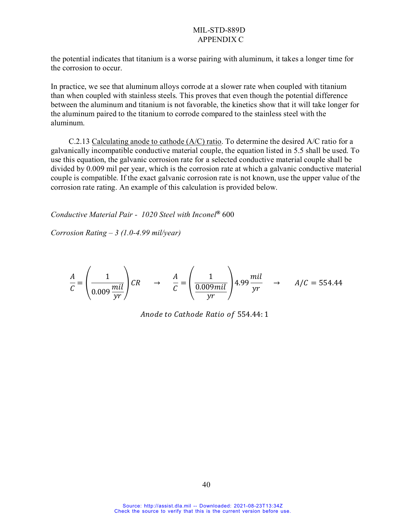the potential indicates that titanium is a worse pairing with aluminum, it takes a longer time for the corrosion to occur.

In practice, we see that aluminum alloys corrode at a slower rate when coupled with titanium than when coupled with stainless steels. This proves that even though the potential difference between the aluminum and titanium is not favorable, the kinetics show that it will take longer for the aluminum paired to the titanium to corrode compared to the stainless steel with the aluminum.

C.2.13 Calculating anode to cathode (A/C) ratio. To determine the desired A/C ratio for a galvanically incompatible conductive material couple, the equation listed in 5.5 shall be used. To use this equation, the galvanic corrosion rate for a selected conductive material couple shall be divided by 0.009 mil per year, which is the corrosion rate at which a galvanic conductive material couple is compatible. If the exact galvanic corrosion rate is not known, use the upper value of the corrosion rate rating. An example of this calculation is provided below.

*Conductive Material Pair - 1020 Steel with Inconel***®** 600

*Corrosion Rating – 3 (1.0-4.99 mil/year)*

$$
\frac{A}{C} = \left(\frac{1}{0.009 \frac{mil}{yr}}\right) CR \rightarrow \frac{A}{C} = \left(\frac{1}{\frac{0.009mil}{yr}}\right) 4.99 \frac{mil}{yr} \rightarrow A/C = 554.44
$$

Anode to Cathode Ratio of 554.44: 1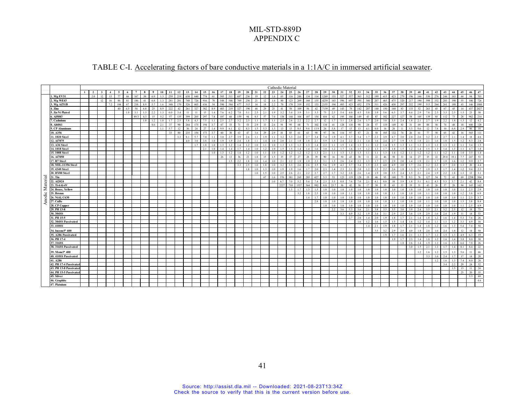## TABLE C-I. Accelerating factors of bare conductive materials in a 1:1A/C in immersed artificial seawater.

|          |                              | Cathodic Material<br>27 28<br>18 19<br>24 25<br>$1 \quad 2$ |     |              |     |                 |     |      |     |     |     |     |     |                |     |     |     |                |     |     |     |                |     |      |                |     |                |                |      |      |      |     |     |                |                |                        |     |                |     |     |     |     |     |     |     |     |      |              |
|----------|------------------------------|-------------------------------------------------------------|-----|--------------|-----|-----------------|-----|------|-----|-----|-----|-----|-----|----------------|-----|-----|-----|----------------|-----|-----|-----|----------------|-----|------|----------------|-----|----------------|----------------|------|------|------|-----|-----|----------------|----------------|------------------------|-----|----------------|-----|-----|-----|-----|-----|-----|-----|-----|------|--------------|
|          |                              |                                                             |     | $\mathbf{3}$ |     |                 |     |      |     |     |     | 11  | 12  | 13             | 14  | 15  | 16  | 17             |     |     | 20  | 21             | 22  | 23 l |                |     | 26             |                |      | 29   | 30   | 31  | 32  | 33             | 34             | 35                     | 36  | 37             | 38  | 39  | 40  | 41  | 42  | 43  | 44  | 45  | 46   | 47           |
|          | 1. Mg EV31                   |                                                             | 2.0 | 12           | 15  | 77              | 66  | 167  | 30  | 6.9 | 1.3 | 259 | 219 | 630            | 640 | 774 | 61  | 505            | 511 | 687 | 236 | 19             | 12  | 1.6  | 65             | 116 | 248            | 134            | 114  | 1269 | 133  | 527 | 557 | 363            | 312            | 199                    | 415 | 423            | 279 | 196 | 166 | 530 | 276 | 244 | 163 | 44  | 94   | 703          |
|          | 2. Mg WE43                   |                                                             |     | 12           | 16  | 86              | 81  | 186  | 41  | 6.8 | 1.3 | 281 | 281 | 748            | 726 | 916 | 78  | 548            | 546 | 769 | 256 | 21             | 12  | 1.6  | 80             | 123 | 269            | 160            | 135  | 4239 | 143  | 596 | 697 | 395            | 340            | 207                    | 465 | 475            | 320 | 217 | 190 | 598 | 332 | 283 | 190 | 55  |      | 100 726      |
|          | 3. Mg AZ31B                  |                                                             |     |              | 7.2 | 104             | 67  | 218  | 8.9 | 5.7 |     | 340 | 170 | 526            | 605 | 636 | 54  | 590            | 584 | 677 | 315 | 14             | 18  | 2.2  | 70             |     | 319            | 152            | 133  | 2155 | 194  | 493 | 423 | 432            | 378            | 311                    | 426 | 430            | 297 | 252 | 199 | 515 | 264 | 261 | 188 | 43  | 146  | 1080         |
|          | 4. Zinc                      |                                                             |     |              |     | 40 <sup>1</sup> | 4.5 | 54   | 6.8 | 25  | 8.9 | 222 | 42  | 261            | 327 | 382 | 8.9 | 403            | 219 | 327 | 190 | 44             | 29  | 25   | 41             | 58  | 109            | 56             | 42   | 7139 | 49   | 143 | 78  | 142            | 207            | 140                    | 150 | 168            | 83  | 133 | 52  | 263 | 45  | 67  | 45  |     | 437  | 2027         |
|          | 5. Zn-Ni Plated              |                                                             |     |              |     |                 | 1.0 | 3.1  | 1.3 | 2.2 |     | 6.0 | 3.4 |                |     |     | 1.4 | 7.6            | 6.2 | 7.8 | 5.1 | 2.5            | 2.1 | 1.9  | 3.2            |     | 2 <sub>0</sub> | 3.1            | 3.3  | 75   | 2.3  | 5.4 | 4.0 | 4.5            | 5.8            |                        | 5.6 | 6.5            | 3.7 | 44  | 2.9 |     | 2.5 |     |     |     | 23   | $30^{\circ}$ |
|          | . Al5083                     |                                                             |     |              |     |                 |     | 89.7 | 4.3 | 15  | 5.2 | 57  | 135 | 399            | 265 | 297 |     | 107            | 66  | 159 | 94  | 8.5            | 57  | 7.0  | 138            | 144 | 104            | 107            | 154  | 416  | 62   | 195 | 166 | 149            | 43             | 87                     | 182 | 227            | 127 | 58  |     | 139 | 85  |     |     |     | 982  | 214          |
|          | 7. Cadmium                   |                                                             |     |              |     |                 |     |      | 1.0 | 1.2 | 1.0 | 1.7 | 2.5 |                | 43  |     |     | 2.5            | 2.7 | 3.2 | 2.3 | 1.1            |     |      | 2.5            |     |                | 22             | 2.7  | 12   | 1.7  | 3.1 | 2.8 | 2.6            |                |                        | 3.0 | 3 <sup>4</sup> | 2.4 | 1.8 |     |     |     | 22  |     |     | 12   | 4.2          |
|          | 8. A16061                    |                                                             |     |              |     |                 |     |      |     | 8.6 | 2.1 | 37  | 90  | 264            | 175 | 194 |     | 67             | 33  | 71  | 53  | 2.9            | 33  | 2.6  | Q <sub>1</sub> | 95  | 68             | 71             | 102  | 134  | 41   | 128 | 110 | 98             | 24             | $\leq$                 | 119 | 149            | 83  | 31  | 69  | 88  | 56  |     |     |     | 640  | 128          |
|          | 9. CP Aluminum               |                                                             |     |              |     |                 |     |      |     |     | 1.1 | 5.7 | 12  | 36             | 24  | 27  | 1.4 | 9.9            | 6.1 | 12  | 8.3 | 1.5            | 5.3 | 1.3  | 13             | 13  | 9.5            | 9.8            | 13.9 | 26   | 5.8  | 17  | 15  |                | 4.1            | 8.0                    | 16  | 20             | 11  | 5.3 | 9.6 | 12  | 7.8 |     |     |     | 86   | 18           |
|          | 10. A356                     |                                                             |     |              |     |                 |     |      |     |     |     | 33  | 80  | 235            | 156 | 173 | 3.7 | 60             | 30  | 63  | 47  | 3.6            | 29  | 2.9  | 81             | 85  | 61             | 63             | 90   | 97   | 36   | 114 | 97  | 87             | 21             | 50                     | 105 | 132            | 74  | 26  | 61  | 77  | 50  | 65  | 42  |     | 565  | 111          |
|          | 11. 1020 Steel               |                                                             |     |              |     |                 |     |      |     |     |     |     | 3.3 | 8 <sub>1</sub> | 5.7 | 7.0 | 1.1 | 3.0            | 2.7 | 3.9 | 2.6 | 1.1            | 1.9 | 1.1  | 3.2            | 3.3 | 2.6            | 2.7            | 3.4  | 74   | 1.9  | 4.1 | 3.7 | 3.4            |                | 23                     | 3.9 | 4.7            | 3.0 | 2.0 | 2.6 | 3.2 | 2.3 | 27  |     |     | 18   | 4.6          |
|          | 12. Al7075                   |                                                             |     |              |     |                 |     |      |     |     |     |     |     | 4.0            | 3.0 | 3.8 | 1.0 | 1.9            | 1.9 | 2.4 | 1.8 | 1.1            | 1.4 | 1.0  | 2.0            | 21  | 1.8            | 1.8            | 2.1  | 5.9  | 1.5  | 2.4 | 2.2 | 2.1            | 1.4            | 1.6                    | 2.4 | 2.7            | 1.9 | 1.5 | 1.8 | 2.1 | 1.6 | 1.8 | 1.5 |     | 8.3  | 2.8          |
|          | 13. A36 Steel                |                                                             |     |              |     |                 |     |      |     |     |     |     |     |                | 1.7 | 1.8 | 1.0 | 1 <sup>2</sup> | 1.2 | 1.4 | 1.2 | 1.0            |     |      | 1.3            |     |                | 1.3            | 1.4  | 2.2  |      | 1.5 | 1.4 | 1.3            |                |                        | 1.4 | 1.5            | 1.3 | 1.1 |     |     |     | 1.3 |     |     | 3.4  | 1.5          |
|          | 14. 1018 Steel               |                                                             |     |              |     |                 |     |      |     |     |     |     |     |                |     | 2.1 | 1.0 | 1.4            | 1.4 | 1.7 | 1.4 | 1.0            | 1.2 |      | 1.5            |     | 1.4            | 1.4            | 1.6  | 3.0  | 1.2  | 1.7 | 1.6 | 1.5            |                |                        | 1.7 | 1.8            | 1.5 | 1.2 |     | 1.5 |     |     |     |     | 4.7  | 1.8          |
|          | 15. 1008 Steel               |                                                             |     |              |     |                 |     |      |     |     |     |     |     |                |     |     | 1.0 | 1 <sup>2</sup> | 1.2 | 1.4 | 12  | 1.0            |     |      |                |     |                | 1.2            | 13   | 21   |      | 13  |     |                |                |                        |     |                |     |     |     |     |     |     |     |     | 3.5  | 1.4          |
|          | 16. Al7050                   |                                                             |     |              |     |                 |     |      |     |     |     |     |     |                |     |     |     | 26             | 13  | 36  | 23  | 1.8            | 15  |      | 35             |     | 27             | 28             | 39   | 90   |      | 50  | 43  | 38             |                | 22                     | 46  | 58             | 33  |     | 27  | 35  | 22  |     |     |     | 247  | 53           |
|          | 17. B7 Steel                 |                                                             |     |              |     |                 |     |      |     |     |     |     |     |                |     |     |     |                | 1.5 | 2.2 | 1.8 | 1.0            | 1.4 |      | 2.1            |     | 1.9            | 1.9            | 2.3  | 3.1  | 1.5  | 2.6 | 2.4 | 2.2            |                |                        | 2.5 | 2.9            | 2.0 | 1.4 |     |     |     | 1.9 |     |     | 9.9  | 2.7          |
|          | 18. MIL-11356 Steel          |                                                             |     |              |     |                 |     |      |     |     |     |     |     |                |     |     |     |                |     | 3.3 | 2.5 | 1 <sub>0</sub> |     |      |                |     |                | 2.6            | 35   | 5.6  |      | 43  | 27  | 3.4            |                |                        |     |                | 3.0 |     |     |     | 22  |     |     |     | 20   | 4.4          |
|          | 19.4340 Steel                |                                                             |     |              |     |                 |     |      |     |     |     |     |     |                |     |     |     |                |     |     | 1.8 | 1.0            | 13  |      | 1.9            |     |                | 1.7            | 2.0  | 23   |      | 23  | 21  | 2.0            |                |                        | 22  | 2.6            |     |     |     | 1.9 |     |     |     |     | 9.4  | 2.3          |
|          | 20. HY80 Steel               |                                                             |     |              |     |                 |     |      |     |     |     |     |     |                |     |     |     |                |     |     |     | 1.0            |     |      | 2.5            |     |                | 2.2            | 2.7  |      |      | 3.2 | 2.8 |                |                |                        | 3.0 |                | 2.4 |     |     |     |     |     |     |     | 13   | 3.1          |
|          | 21. Tin                      |                                                             |     |              |     |                 |     |      |     |     |     |     |     |                |     |     |     |                |     |     |     |                | 67  |      | 376            | 381 | 265            | 285            | 427  | 53   | 53   | 123 |     |                |                | $\Lambda$ <sub>f</sub> | 95  |                |     |     |     |     | 54  |     |     |     | 2298 | 504          |
|          | 22. Al2024                   |                                                             |     |              |     |                 |     |      |     |     |     |     |     |                |     |     |     |                |     |     |     |                |     | 1.0  | 6.7            | 7.0 | 5.2            | 5.4            | 7.4  | 23   | 3.5  | 8.8 | 7.6 | 7.0            | 2.1            | -4.1                   | 8.0 | 10             | 5.9 | 1.8 |     |     | 43  |     |     |     | 42   | 8.4          |
|          | 23. Ti-6Al-4V                |                                                             |     |              |     |                 |     |      |     |     |     |     |     |                |     |     |     |                |     |     |     |                |     |      | 2227           | 710 | 1557           | 564            | 982  | 8.8  | 23.7 | 36  | 42  |                |                |                        |     | 43             |     |     |     | 43  | 26  |     |     |     | 143  | 162          |
| Material | 24. Brass, Yellow            |                                                             |     |              |     |                 |     |      |     |     |     |     |     |                |     |     |     |                |     |     |     |                |     |      |                |     |                | 1.3            | 1.5  | 1.0  | 1.0  | 1.0 | 1.0 | $\overline{0}$ | LΩ             |                        |     |                | 10  | 1.0 |     |     |     |     |     |     | 2.3  | 2.9          |
|          | 25. Bronze                   |                                                             |     |              |     |                 |     |      |     |     |     |     |     |                |     |     |     |                |     |     |     |                |     |      |                |     |                | 1 <sup>5</sup> | 2.5  | 10   | 1.0  | 1.0 |     |                |                |                        |     |                |     |     |     |     |     |     |     |     | 3.8  | 6.9          |
| Anodic   | 26. NiAl, C630               |                                                             |     |              |     |                 |     |      |     |     |     |     |     |                |     |     |     |                |     |     |     |                |     |      |                |     |                | 1.4            | 1.7  | 1.0  | 1.0  | 1.0 | 1.0 |                |                |                        |     |                |     |     |     |     |     |     |     |     | 2.3  | 3.7          |
|          | 27. CuBe                     |                                                             |     |              |     |                 |     |      |     |     |     |     |     |                |     |     |     |                |     |     |     |                |     |      |                |     |                |                | 2.8  | 1.0  | 1.0  | 1.0 | 1.0 | $\overline{0}$ | LΩ             |                        |     |                | 1.0 | 1.0 |     |     |     |     |     |     | 3.8  | 8.4          |
|          | 28. CP Copper                |                                                             |     |              |     |                 |     |      |     |     |     |     |     |                |     |     |     |                |     |     |     |                |     |      |                |     |                |                |      | 1.0  | 1.0  | 1.0 | 1.0 | $\overline{0}$ | 1.0            |                        |     |                | 1.0 | 1.0 |     |     |     |     |     |     | 2.5  | 4.9          |
|          | 29. PH 13-8                  |                                                             |     |              |     |                 |     |      |     |     |     |     |     |                |     |     |     |                |     |     |     |                |     |      |                |     |                |                |      |      | 2.2  | 3.6 | 5.3 | 3.6            |                |                        |     | 3.5            | 3.0 | 3.9 | 2.4 |     |     |     |     |     | 18   | 73           |
|          | 30, 304SS                    |                                                             |     |              |     |                 |     |      |     |     |     |     |     |                |     |     |     |                |     |     |     |                |     |      |                |     |                |                |      |      |      | 3.3 | 4.9 | 3.2            | 19             |                        |     | 2.9            | 2.5 | 3.6 |     | 2.9 |     |     |     |     | 14   | 53           |
|          | 31. PH 15-5                  |                                                             |     |              |     |                 |     |      |     |     |     |     |     |                |     |     |     |                |     |     |     |                |     |      |                |     |                |                |      |      |      |     | 2.7 | 2.0            | $\overline{4}$ | 2.0                    | 1.9 | 18             | 1.7 | 2.1 |     |     |     |     |     |     | 7.6  | 26           |
|          | 32.304SS Passivated          |                                                             |     |              |     |                 |     |      |     |     |     |     |     |                |     |     |     |                |     |     |     |                |     |      |                |     |                |                |      |      |      |     |     | 1.6            | 1.2            | 1.6                    | 1.5 | 1.5            | 1.4 | 1.6 |     | 1.4 |     | 1.3 |     | 3.3 | 4.9  | 16           |
|          | 33.410SS                     |                                                             |     |              |     |                 |     |      |     |     |     |     |     |                |     |     |     |                |     |     |     |                |     |      |                |     |                |                |      |      |      |     |     |                | 1.4            | 2.1                    | 1.9 | 1.8            | 1.7 | 2.1 | 1.4 | 1.8 | 1.2 | 1.6 | 1.3 | 5.4 | 7.4  | 54           |
|          | 34. Inconel <sup>®</sup> 600 |                                                             |     |              |     |                 |     |      |     |     |     |     |     |                |     |     |     |                |     |     |     |                |     |      |                |     |                |                |      |      |      |     |     |                |                | 3.5                    | 3.2 | 2.9            | 2.5 | 4.0 | 1.8 | 2.8 | 1.6 | 2.4 |     | 12  | 14   | 50           |
|          | 35. A286 Passivated          |                                                             |     |              |     |                 |     |      |     |     |     |     |     |                |     |     |     |                |     |     |     |                |     |      |                |     |                |                |      |      |      |     |     |                |                |                        | 1.9 | 1.7            | 1.6 | 2.1 | 1.3 | 1.7 | 1.2 | 1.5 |     | 4.9 | 6.3  | 19           |
|          | 36. PH 17-4                  |                                                             |     |              |     |                 |     |      |     |     |     |     |     |                |     |     |     |                |     |     |     |                |     |      |                |     |                |                |      |      |      |     |     |                |                |                        |     | 1.9            | 1.7 | 2.3 | 1.4 | 1.8 | 1.2 | 1.6 | 1.4 | 5.8 | 8.0  | 30           |
|          | 37.316SS                     |                                                             |     |              |     |                 |     |      |     |     |     |     |     |                |     |     |     |                |     |     |     |                |     |      |                |     |                |                |      |      |      |     |     |                |                |                        |     |                | 1.8 | 2.6 | 1.4 | 1.9 | 1.2 | 1.6 |     | 6.6 | 7.8  | 26           |
|          | 38.316SS Passivated          |                                                             |     |              |     |                 |     |      |     |     |     |     |     |                |     |     |     |                |     |     |     |                |     |      |                |     |                |                |      |      |      |     |     |                |                |                        |     |                |     | 3.0 | 1.5 | 2.1 | 1.3 | 1.7 | 1.4 | 8.1 | 8.4  | $22\,$       |
|          | 39. Monel <sup>®</sup> 400   |                                                             |     |              |     |                 |     |      |     |     |     |     |     |                |     |     |     |                |     |     |     |                |     |      |                |     |                |                |      |      |      |     |     |                |                |                        |     |                |     |     | 1.2 | 1.6 | 1.2 | 1.5 | 1.3 | 5.6 | 11   | 66           |
|          | 40.410SS Passivated          |                                                             |     |              |     |                 |     |      |     |     |     |     |     |                |     |     |     |                |     |     |     |                |     |      |                |     |                |                |      |      |      |     |     |                |                |                        |     |                |     |     |     | 3.3 | 1.6 | 2.4 | 17  |     | 14   | 28           |
|          | 41.A286                      |                                                             |     |              |     |                 |     |      |     |     |     |     |     |                |     |     |     |                |     |     |     |                |     |      |                |     |                |                |      |      |      |     |     |                |                |                        |     |                |     |     |     |     | 1.2 | 1.6 | 1.3 | 7.4 | 8.0  | 28           |
|          | 42. PH 17-4 Passivated       |                                                             |     |              |     |                 |     |      |     |     |     |     |     |                |     |     |     |                |     |     |     |                |     |      |                |     |                |                |      |      |      |     |     |                |                |                        |     |                |     |     |     |     |     | 3.4 | 2.2 | 29  | 24   | 52           |
|          | 43. PH 13-8 Passivated       |                                                             |     |              |     |                 |     |      |     |     |     |     |     |                |     |     |     |                |     |     |     |                |     |      |                |     |                |                |      |      |      |     |     |                |                |                        |     |                |     |     |     |     |     |     | 1.5 | 13  | 11   | 24           |
|          | 44. PH 15-5 Passivated       |                                                             |     |              |     |                 |     |      |     |     |     |     |     |                |     |     |     |                |     |     |     |                |     |      |                |     |                |                |      |      |      |     |     |                |                |                        |     |                |     |     |     |     |     |     |     | 25  | 20   | 35           |
|          | 45. Silver                   |                                                             |     |              |     |                 |     |      |     |     |     |     |     |                |     |     |     |                |     |     |     |                |     |      |                |     |                |                |      |      |      |     |     |                |                |                        |     |                |     |     |     |     |     |     |     |     | 3.3  | 69           |
|          | 46. Graphite                 |                                                             |     |              |     |                 |     |      |     |     |     |     |     |                |     |     |     |                |     |     |     |                |     |      |                |     |                |                |      |      |      |     |     |                |                |                        |     |                |     |     |     |     |     |     |     |     |      | 4.6          |
|          | 47. Platnium                 |                                                             |     |              |     |                 |     |      |     |     |     |     |     |                |     |     |     |                |     |     |     |                |     |      |                |     |                |                |      |      |      |     |     |                |                |                        |     |                |     |     |     |     |     |     |     |     |      |              |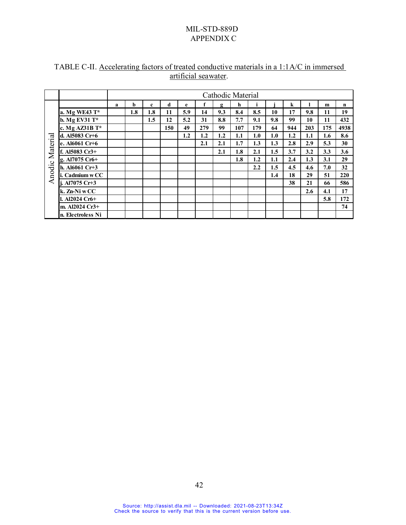|          |                   |   |     |     |     |         |     |     | Cathodic Material |                  |     |     |     |     |             |
|----------|-------------------|---|-----|-----|-----|---------|-----|-----|-------------------|------------------|-----|-----|-----|-----|-------------|
|          |                   | a | b   | c   | d   | e       | f   | g   | h                 | j.               |     | k   |     | m   | $\mathbf n$ |
|          | a. Mg WE43 T*     |   | 1.8 | 1.8 | 11  | 5.9     | 14  | 9.3 | 8.4               | 8.5              | 10  | 17  | 9.8 | 11  | 19          |
|          | b. Mg EV31 T*     |   |     | 1.5 | 12  | 5.2     | 31  | 8.8 | 7.7               | 9.1              | 9.8 | 99  | 10  | 11  | 432         |
|          | c. Mg AZ31B T*    |   |     |     | 150 | 49      | 279 | 99  | 107               | 179              | 64  | 944 | 203 | 175 | 4938        |
|          | d. Al5083 Cr+6    |   |     |     |     | $1.2\,$ | 1.2 | 1.2 | 1.1               | 1.0              | 1.0 | 1.2 | 1.1 | 1.6 | 8.6         |
| Material | e. Al6061 Cr+6    |   |     |     |     |         | 2.1 | 2.1 | 1.7               | 1.3              | 1.3 | 2.8 | 2.9 | 5.3 | 30          |
|          | f. Al5083 Cr3+    |   |     |     |     |         |     | 2.1 | 1.8               | 2.1              | 1.5 | 3.7 | 3.2 | 3.3 | 3.6         |
|          | g. Al7075 Cr6+    |   |     |     |     |         |     |     | 1.8               | 1.2              | 1.1 | 2.4 | 1.3 | 3.1 | 29          |
| Anodic   | h. Al $6061$ Cr+3 |   |     |     |     |         |     |     |                   | $2.2\phantom{0}$ | 1.5 | 4.5 | 4.6 | 7.0 | 32          |
|          | i. Cadmium w CC   |   |     |     |     |         |     |     |                   |                  | 1.4 | 18  | 29  | 51  | 220         |
|          | j. Al7075 Cr+3    |   |     |     |     |         |     |     |                   |                  |     | 38  | 21  | 66  | 586         |
|          | k. Zn-Ni w CC     |   |     |     |     |         |     |     |                   |                  |     |     | 2.6 | 4.1 | 17          |
|          | l. Al2024 Cr6+    |   |     |     |     |         |     |     |                   |                  |     |     |     | 5.8 | 172         |
|          | m. Al2024 Cr3+    |   |     |     |     |         |     |     |                   |                  |     |     |     |     | 74          |
|          | n. Electroless Ni |   |     |     |     |         |     |     |                   |                  |     |     |     |     |             |

# TABLE C-II. Accelerating factors of treated conductive materials in a 1:1A/C in immersed artificial seawater.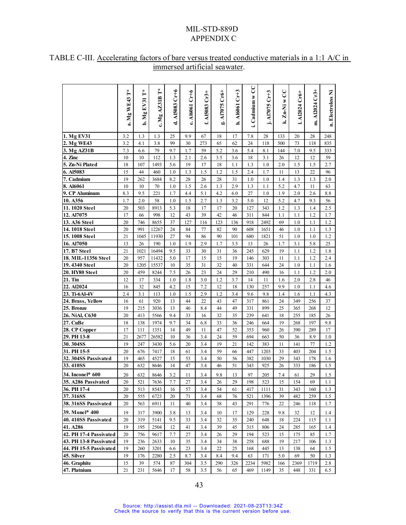|                                    | ť<br>a. Mg WE43 | Ļ<br>$Mg$ EV31<br>ئم | ť<br>c. Mg AZ31B | C <sub>1</sub><br>A15083<br>ಕ | $Cr+6$<br>e. A16061 | $Cr3+$<br><b>AI5083</b><br>$\ddot{}$ | AI7075 Cr6+<br>ь'n | h. A16061 Cr+3 | S<br>i. Cadmium w | j. Al7075 Cr+3 | S<br>$Zn-Ni$<br><u>ي</u> | A12024 Cr6+<br>∸ | A12024 Cr3+<br>$\ddot{\mathbf{a}}$ | n. Electroless Ni |
|------------------------------------|-----------------|----------------------|------------------|-------------------------------|---------------------|--------------------------------------|--------------------|----------------|-------------------|----------------|--------------------------|------------------|------------------------------------|-------------------|
| 1. Mg EV31                         | 3.2             | 1.3                  | 1.3              | 25                            | 9.9                 | 67                                   | 18                 | 17             | 7.8               | 28             | 133                      | 20               | 28                                 | 248               |
| 2. Mg WE43                         | 3.2             | 4.1                  | 3.8              | 99                            | 30                  | 273                                  | 65                 | 62             | 24                | 118            | 500                      | 73               | 118                                | 835               |
| 3. Mg AZ31B                        | 7.3             | 6.6                  | 79               | 9.7                           | 1.7                 | 59                                   | 5.2                | 3.6            | 5.4               | 8.1            | 144                      | 7.0              | 9.5                                | 333               |
| 4. Zinc                            | 10              | 10                   | 112              | 1.3                           | 2.1                 | 2.6                                  | 3.5                | 3.6            | 18                | 3.1            | 26                       | 12               | 12                                 | 59                |
| 5. Zn-Ni Plated                    | 18              | 107                  | 1493             | 5.6                           | 19                  | 17                                   | 18                 | 1.1            | 1.3               | 1.0            | 2.0                      | 1.5              | 1.5                                | 2.7               |
| 6. Al5083                          | 15              | 44                   | 460              | 1.0                           | 1.3                 | 1.5                                  | 1.2                | 1.5            | 2.4               | 1.7            | 11                       | 13               | 22                                 | 96                |
| 7. Cadmium                         | 19              | 262                  | 3684             | 8.2                           | 28                  | 26                                   | 28                 | 31             | 1.0               | 1.0            | 1.4                      | 1.3              | 1.3                                | 2.0               |
| 8. Al6061                          | 10              | 10                   | 70               | 1.0                           | 1.5                 | 2.6                                  | 1.3                | 2.9            | 1.3               | 1.1            | 5.2                      | 4.7              | 11                                 | 63                |
| 9. CP Aluminum                     | 8.3             | 9.5                  | 221              | 1.7                           | 4.4                 | 5.1                                  | 4.2                | 6.0            | 27                | 1.0            | 1.9                      | 2.0              | 2.6                                | 8.8               |
| 10. A356                           | 1.7             | 2.0                  | 58               | 1.0                           | 1.5                 | 2.7                                  | 1.3                | 3.2            | 5.0               | 12             | 5.2                      | 4.7              | 9.3                                | 56                |
| 11.1020 Steel                      | 20              | 503                  | 8913             | 5.3                           | 18                  | 17                                   | 17                 | 20             | 127               | 343            | 1.2                      | 1.3              | 1.4                                | 2.5               |
| 12. Al7075                         | 17              | 66                   | 998              | 12                            | 43                  | 39                                   | 42                 | 46             | 311               | 844            | 1.1                      | 1.1              | 1.2                                | 1.7               |
| 13. A36 Steel                      | 20              | 746                  | 8655             | 37                            | 127                 | 116                                  | 123                | 136            | 918               | 2492           | 69                       | 1.0              | 1.1                                | 1.2               |
| 14. 1018 Steel                     | 20              | 991                  | 12267            | 24                            | 84                  | 77                                   | 82                 | 90             | 608               | 1651           | 46                       | 1.0              | 1.1                                | 1.3               |
| 15.1008 Steel                      | 21              | 1045                 | 11930            | 27                            | 94                  | 86                                   | 90                 | 101            | 680               | 1821           | 51                       | 1.0              | 1.0                                | 1.2               |
| 16. Al7050                         | 13              | 26                   | 190              | 1.0                           | 1.9                 | 2.9                                  | 1.7                | 3.5            | 13                | 26             | 1.7                      | 3.1              | 5.8                                | 25                |
| 17. B7 Steel                       | 21              | 1021                 | 16494            | 9.5                           | 33                  | 30                                   | 31                 | 36             | 245               | 629            | 19                       | 1.1              | 1.2                                | 1.8               |
| 18. MIL-11356 Steel                | 20              | 957                  | 11432            | 5.0                           | 17                  | 15                                   | 15                 | 19             | 146               | 303            | 11                       | 1.1              | 1.2                                | 2.4               |
| 19. 4340 Steel                     | 20              | 1205                 | 15537            | 10                            | 35                  | 31                                   | 32                 | 40             | 331               | 644            | 24                       | 1.0              | 1.1                                | 1.6               |
| 20. HY80 Steel                     | 20              | 459                  | 8244             | 7.5                           | 26                  | 23                                   | 24                 | 29             | 210               | 490            | 16                       | 1.1              | 1.2                                | 2.0               |
| 21. Tin                            | 12              | 17                   | 334              | 1.0                           | 1.8                 | 3.0                                  | 1.2                | 3.7            | 14                | 11             | 1.6                      | 2.0              | 2.8                                | 46                |
| 22. Al2024                         | 16              | 32                   | 845              | 4.2                           | 15                  | 7.2                                  | 12                 | 18             | 130               | 257            | 9.9                      | 1.0              | 1.1                                | 4.6               |
| 23. Ti-6Al-4V                      | 2.4             | 3.1                  | 113              | 1.0                           | 1.5                 | 2.9                                  | 1.2                | 3.4            | 9.6               | 9.8            | 1.4                      | 1.6              | 1.1                                | 4.3               |
| 24. Brass, Yellow                  | 16              | 61                   | 920              | 13                            | 44                  | 22                                   | 43                 | 47             | 317               | 861            | 24                       | 349              | 256                                | 37                |
| 25. Bronze                         | 19              | 215                  | 3036             | 13                            | 46                  | 8.4                                  | 44                 | 49             | 331               | 899            | 25                       | 365              | 268                                | 12                |
| 26. NiAl, C630                     | 20              | 413                  | 5566             | 9.4                           | 33                  | 16                                   | 32                 | 35             | 239               | 641            | 18                       | 255              | 185                                | 26                |
| 27. CuBe                           | 18              | 138                  | 1974             | 9.7                           | 34                  | 6.8                                  | 33                 | 36             | 246               | 664            | 19                       | 268              | 197                                | 9.8               |
| 28. CP Copper                      | 17              | 111                  | 1351             | 14                            | 49                  | 11                                   | 47                 | 52             | 353               | 960            | 26                       | 390              | 289                                | 17                |
| 29. PH 13-8<br>30.304SS            | 21<br>19        | 2677<br>247          | 26582<br>3430    | 10<br>5.6                     | 36<br>20            | 3.4<br>3.4                           | 24<br>19           | 59<br>21       | 694<br>142        | 663<br>383     | 50<br>11                 | 36<br>141        | 8.9<br>77                          | 1.0<br>1.2        |
| 31. PH 15-5                        | 20              | 676                  | 7417             | 18                            | 61                  | 3.4                                  | 59                 | 66             | 447               | 1203           | 33                       | 403              | 204                                | 1.5               |
| 32.304SS Passivated                | 19              | 465                  | 4527             | 15                            | 53                  | 3.4                                  | 50                 | 56             | 382               | 1030           | 29                       | 343              | 178                                | 1.6               |
| 33.410SS                           | 20              | 632                  | 8646             | 14                            | 47                  | 3.4                                  | 46                 | 51             | 343               | 925            | 26                       | 333              | 186                                | 1.5               |
| 34. Inconel <sup>®</sup> 600       |                 |                      |                  |                               |                     |                                      |                    |                |                   |                |                          |                  |                                    |                   |
|                                    | 20              | 632                  | 8646             | 3.2                           | 11                  | 3.4                                  | 9.8                | 13             | 97                | 205            | 7.4                      | 61               | 29                                 | 1.5               |
| 35. A286 Passivated<br>36. PH 17-4 | 20<br>20        | 521<br>513           | 7636<br>8543     | 7.7<br>16                     | 27<br>57            | 3.4<br>3.4                           | 26<br>54           | 29<br>61       | 198<br>417        | 523<br>1111    | 15<br>31                 | 154<br>343       | 69<br>160                          | 1.1<br>1.3        |
| 37.316SS                           | 20              | 555                  | 6723             | 20                            | 71                  | 3.4                                  | 68                 | 76             | 521               | 1396           | 39                       | 482              | 259                                | 1.5               |
| 38. 316SS Passivated               | 20              | 563                  | 6911             | 11                            | 40                  | 3.4                                  | 38                 | 43             | 291               | 776            | 22                       | 246              | 118                                | 1.7               |
| 39. Monel <sup>®</sup> 400         |                 |                      |                  |                               |                     |                                      |                    |                |                   |                |                          |                  |                                    |                   |
| 40.410SS Passivated                | 19<br>20        | 317<br>319           | 3900<br>5141     | 3.8<br>9.5                    | 13<br>33            | 3.4<br>3.4                           | 10<br>32           | 17<br>35       | 129<br>240        | 228<br>648     | 9.8<br>18                | 32<br>224        | 12<br>115                          | 1.4<br>1.1        |
| 41. A286                           | 19              | 195                  | 2504             | 12                            | 41                  | 3.4                                  | 39                 | 45             | 315               | 806            | 24                       | 285              | 165                                | 1.4               |
| 42. PH 17-4 Passivated             | 20              | 756                  | 9617             | 7.7                           | 27                  | 3.4                                  | 26                 | 29             | 194               | 523            | 15                       | 175              | 85                                 | 1.7               |
| 43. PH 13-8 Passivated             | 19              | 236                  | 2633             | 10                            | 35                  | 3.4                                  | 34                 | 38             | 258               | 688            | 19                       | 217              | 106                                | 1.3               |
| 44. PH 15-5 Passivated             | 19              | 260                  | 3201             | 6.6                           | 23                  | 3.4                                  | 22                 | 25             | 168               | 445            | 13                       | 138              | 64                                 | 1.5               |
| 45. Silver                         | 19              | 176                  | 2280             | 2.5                           | 8.7                 | 3.4                                  | 8.4                | 9.4            | 63                | 171            | 5.0                      | 69               | 50                                 | 1.3               |
| 46. Graphite                       | 15              | 39                   | 574              | 87                            | 304                 | 3.5                                  | 290                | 326            | 2234              | 5982           | 166                      | 2369             | 1719                               | 2.8               |
| 47. Platnium                       | 21              | 231                  | 5646             | 17                            | 58                  | 3.5                                  | 56                 | 65             | 469               | 1149           | 35                       | 448              | 331                                | 6.5               |

# TABLE C-III. Accelerating factors of bare versus treated conductive materials in a 1:1 A/C in immersed artificial seawater.